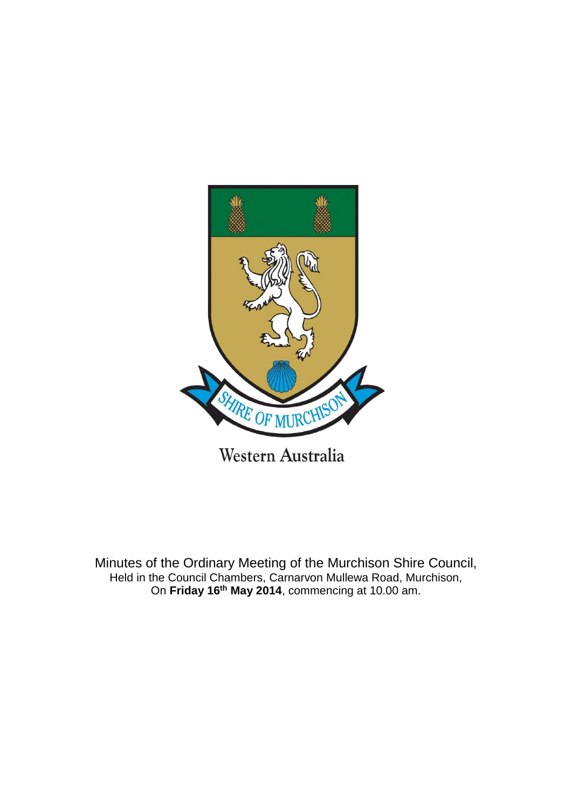

Minutes of the Ordinary Meeting of the Murchison Shire Council, Held in the Council Chambers, Carnarvon Mullewa Road, Murchison, On **Friday 16th May 2014**, commencing at 10.00 am.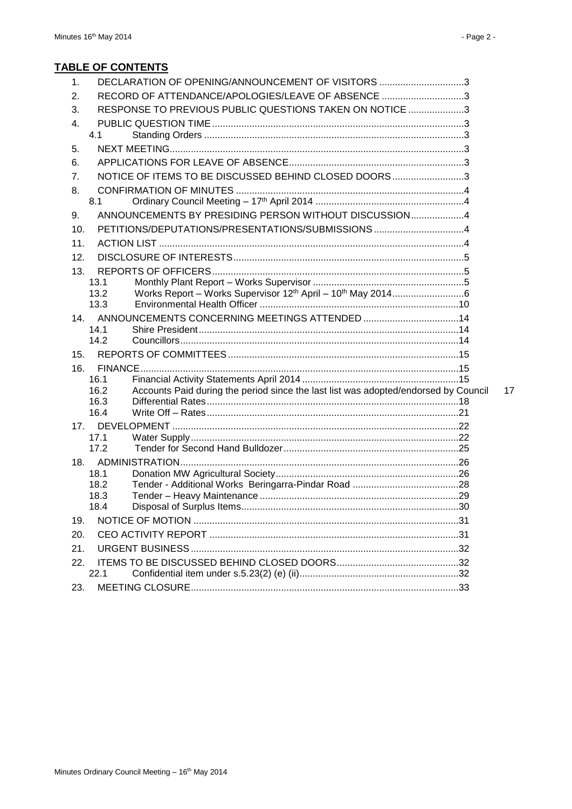# **TABLE OF CONTENTS**

| DECLARATION OF OPENING/ANNOUNCEMENT OF VISITORS 3<br>1.                                             |  |
|-----------------------------------------------------------------------------------------------------|--|
| RECORD OF ATTENDANCE/APOLOGIES/LEAVE OF ABSENCE 3<br>2.                                             |  |
| RESPONSE TO PREVIOUS PUBLIC QUESTIONS TAKEN ON NOTICE 3<br>3.                                       |  |
| 4.                                                                                                  |  |
| 4.1                                                                                                 |  |
| 5.                                                                                                  |  |
| 6.                                                                                                  |  |
| NOTICE OF ITEMS TO BE DISCUSSED BEHIND CLOSED DOORS 3<br>7.                                         |  |
| 8.                                                                                                  |  |
| 8.1                                                                                                 |  |
| ANNOUNCEMENTS BY PRESIDING PERSON WITHOUT DISCUSSION4<br>9.                                         |  |
| PETITIONS/DEPUTATIONS/PRESENTATIONS/SUBMISSIONS4<br>10.                                             |  |
| 11.                                                                                                 |  |
| 12.                                                                                                 |  |
| 13.                                                                                                 |  |
| 13.1                                                                                                |  |
| 13.2                                                                                                |  |
| 13.3                                                                                                |  |
| 14 <sub>1</sub>                                                                                     |  |
| 14.1                                                                                                |  |
| 14.2                                                                                                |  |
| 15.                                                                                                 |  |
| 16.                                                                                                 |  |
| 16.1                                                                                                |  |
| Accounts Paid during the period since the last list was adopted/endorsed by Council<br>16.2<br>16.3 |  |
| 16.4                                                                                                |  |
| 17.                                                                                                 |  |
| 17.1                                                                                                |  |
| 17.2                                                                                                |  |
|                                                                                                     |  |
| 18.1                                                                                                |  |
| 18.2                                                                                                |  |
| 18.3                                                                                                |  |
| 18.4                                                                                                |  |
| 19.                                                                                                 |  |
| 20.                                                                                                 |  |
| 21.                                                                                                 |  |
| 22.                                                                                                 |  |
|                                                                                                     |  |
| 22.1<br>23.                                                                                         |  |

 $17$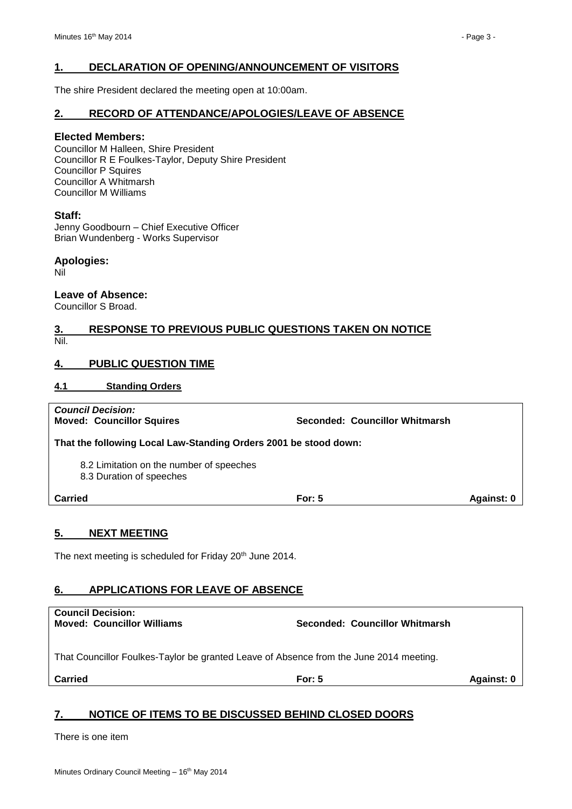### <span id="page-2-0"></span>**1. DECLARATION OF OPENING/ANNOUNCEMENT OF VISITORS**

The shire President declared the meeting open at 10:00am.

#### <span id="page-2-1"></span>**2. RECORD OF ATTENDANCE/APOLOGIES/LEAVE OF ABSENCE**

#### **Elected Members:**

Councillor M Halleen, Shire President Councillor R E Foulkes-Taylor, Deputy Shire President Councillor P Squires Councillor A Whitmarsh Councillor M Williams

#### **Staff:**

Jenny Goodbourn – Chief Executive Officer Brian Wundenberg - Works Supervisor

#### **Apologies:**

Nil

#### **Leave of Absence:**

Councillor S Broad.

#### <span id="page-2-2"></span>**3. RESPONSE TO PREVIOUS PUBLIC QUESTIONS TAKEN ON NOTICE** Nil.

### <span id="page-2-3"></span>**4. PUBLIC QUESTION TIME**

#### <span id="page-2-4"></span>**4.1 Standing Orders**

*Council Decision:* **Moved: Councillor Squires Seconded: Councillor Whitmarsh That the following Local Law-Standing Orders 2001 be stood down:** 8.2 Limitation on the number of speeches 8.3 Duration of speeches **Carried For: 5 Against: 0**

# <span id="page-2-5"></span>**5. NEXT MEETING**

The next meeting is scheduled for Friday 20<sup>th</sup> June 2014.

# <span id="page-2-6"></span>**6. APPLICATIONS FOR LEAVE OF ABSENCE**

| <b>Council Decision:</b><br><b>Moved: Councillor Williams</b>                          | Seconded: Councillor Whitmarsh |            |
|----------------------------------------------------------------------------------------|--------------------------------|------------|
| That Councillor Foulkes-Taylor be granted Leave of Absence from the June 2014 meeting. |                                |            |
| <b>Carried</b>                                                                         | For: $5$                       | Against: 0 |

# <span id="page-2-7"></span>**7. NOTICE OF ITEMS TO BE DISCUSSED BEHIND CLOSED DOORS**

There is one item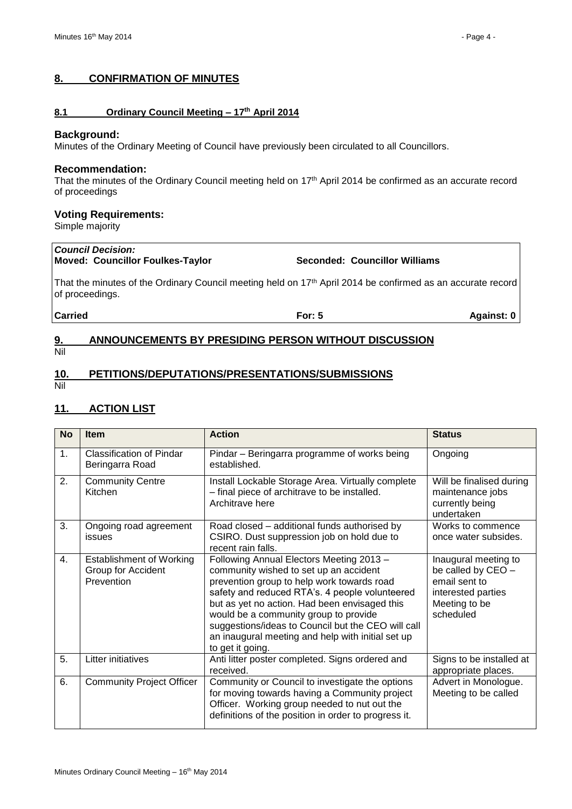#### <span id="page-3-0"></span>**8. CONFIRMATION OF MINUTES**

#### <span id="page-3-1"></span>**8.1 Ordinary Council Meeting – 17th April 2014**

#### **Background:**

Minutes of the Ordinary Meeting of Council have previously been circulated to all Councillors.

#### **Recommendation:**

That the minutes of the Ordinary Council meeting held on 17th April 2014 be confirmed as an accurate record of proceedings

#### **Voting Requirements:**

Simple majority

# *Council Decision:*

# **Moved: Councillor Foulkes-Taylor Seconded: Councillor Williams**

That the minutes of the Ordinary Council meeting held on 17<sup>th</sup> April 2014 be confirmed as an accurate record of proceedings.

**Carried For: 5 Against: 0**

### <span id="page-3-2"></span>**9. ANNOUNCEMENTS BY PRESIDING PERSON WITHOUT DISCUSSION** Nil

# <span id="page-3-3"></span>**10. PETITIONS/DEPUTATIONS/PRESENTATIONS/SUBMISSIONS**

Nil

## <span id="page-3-4"></span>**11. ACTION LIST**

| <b>No</b> | <b>Item</b>                                                         | <b>Action</b>                                                                                                                                                                                                                                                                                                                                                                                               | <b>Status</b>                                                                                                   |
|-----------|---------------------------------------------------------------------|-------------------------------------------------------------------------------------------------------------------------------------------------------------------------------------------------------------------------------------------------------------------------------------------------------------------------------------------------------------------------------------------------------------|-----------------------------------------------------------------------------------------------------------------|
| 1.        | <b>Classification of Pindar</b><br>Beringarra Road                  | Pindar - Beringarra programme of works being<br>established.                                                                                                                                                                                                                                                                                                                                                | Ongoing                                                                                                         |
| 2.        | <b>Community Centre</b><br>Kitchen                                  | Install Lockable Storage Area. Virtually complete<br>- final piece of architrave to be installed.<br>Architrave here                                                                                                                                                                                                                                                                                        | Will be finalised during<br>maintenance jobs<br>currently being<br>undertaken                                   |
| 3.        | Ongoing road agreement<br>issues                                    | Road closed - additional funds authorised by<br>CSIRO. Dust suppression job on hold due to<br>recent rain falls.                                                                                                                                                                                                                                                                                            | Works to commence<br>once water subsides.                                                                       |
| 4.        | <b>Establishment of Working</b><br>Group for Accident<br>Prevention | Following Annual Electors Meeting 2013 -<br>community wished to set up an accident<br>prevention group to help work towards road<br>safety and reduced RTA's. 4 people volunteered<br>but as yet no action. Had been envisaged this<br>would be a community group to provide<br>suggestions/ideas to Council but the CEO will call<br>an inaugural meeting and help with initial set up<br>to get it going. | Inaugural meeting to<br>be called by CEO -<br>email sent to<br>interested parties<br>Meeting to be<br>scheduled |
| 5.        | Litter initiatives                                                  | Anti litter poster completed. Signs ordered and<br>received.                                                                                                                                                                                                                                                                                                                                                | Signs to be installed at<br>appropriate places.                                                                 |
| 6.        | <b>Community Project Officer</b>                                    | Community or Council to investigate the options<br>for moving towards having a Community project<br>Officer. Working group needed to nut out the<br>definitions of the position in order to progress it.                                                                                                                                                                                                    | Advert in Monologue.<br>Meeting to be called                                                                    |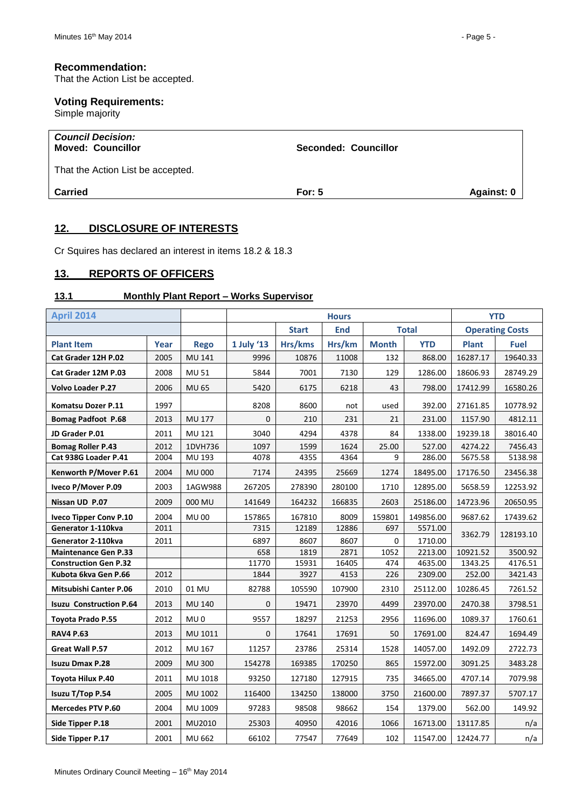### **Recommendation:**

That the Action List be accepted.

# **Voting Requirements:**

Simple majority

| <b>Council Decision:</b><br><b>Moved: Councillor</b> | Seconded: Councillor   |  |
|------------------------------------------------------|------------------------|--|
| That the Action List be accepted.                    |                        |  |
| <b>Carried</b>                                       | Against: 0<br>For: $5$ |  |

## <span id="page-4-0"></span>**12. DISCLOSURE OF INTERESTS**

Cr Squires has declared an interest in items 18.2 & 18.3

# <span id="page-4-1"></span>**13. REPORTS OF OFFICERS**

#### <span id="page-4-2"></span>**13.1 Monthly Plant Report – Works Supervisor**

| <b>April 2014</b>              |      |                 | <b>Hours</b> |              |            |              |              | <b>YTD</b>             |             |
|--------------------------------|------|-----------------|--------------|--------------|------------|--------------|--------------|------------------------|-------------|
|                                |      |                 |              | <b>Start</b> | <b>End</b> |              | <b>Total</b> | <b>Operating Costs</b> |             |
| <b>Plant Item</b>              | Year | <b>Rego</b>     | 1 July '13   | Hrs/kms      | Hrs/km     | <b>Month</b> | <b>YTD</b>   | <b>Plant</b>           | <b>Fuel</b> |
| Cat Grader 12H P.02            | 2005 | <b>MU 141</b>   | 9996         | 10876        | 11008      | 132          | 868.00       | 16287.17               | 19640.33    |
| Cat Grader 12M P.03            | 2008 | <b>MU 51</b>    | 5844         | 7001         | 7130       | 129          | 1286.00      | 18606.93               | 28749.29    |
| Volvo Loader P.27              | 2006 | <b>MU 65</b>    | 5420         | 6175         | 6218       | 43           | 798.00       | 17412.99               | 16580.26    |
| Komatsu Dozer P.11             | 1997 |                 | 8208         | 8600         | not        | used         | 392.00       | 27161.85               | 10778.92    |
| <b>Bomag Padfoot P.68</b>      | 2013 | <b>MU 177</b>   | 0            | 210          | 231        | 21           | 231.00       | 1157.90                | 4812.11     |
| JD Grader P.01                 | 2011 | MU 121          | 3040         | 4294         | 4378       | 84           | 1338.00      | 19239.18               | 38016.40    |
| <b>Bomag Roller P.43</b>       | 2012 | 1DVH736         | 1097         | 1599         | 1624       | 25.00        | 527.00       | 4274.22                | 7456.43     |
| Cat 938G Loader P.41           | 2004 | MU 193          | 4078         | 4355         | 4364       | 9            | 286.00       | 5675.58                | 5138.98     |
| Kenworth P/Mover P.61          | 2004 | <b>MU 000</b>   | 7174         | 24395        | 25669      | 1274         | 18495.00     | 17176.50               | 23456.38    |
| Iveco P/Mover P.09             | 2003 | 1AGW988         | 267205       | 278390       | 280100     | 1710         | 12895.00     | 5658.59                | 12253.92    |
| Nissan UD P.07                 | 2009 | 000 MU          | 141649       | 164232       | 166835     | 2603         | 25186.00     | 14723.96               | 20650.95    |
| <b>Iveco Tipper Conv P.10</b>  | 2004 | <b>MU00</b>     | 157865       | 167810       | 8009       | 159801       | 149856.00    | 9687.62                | 17439.62    |
| Generator 1-110kva             | 2011 |                 | 7315         | 12189        | 12886      | 697          | 5571.00      | 3362.79                | 128193.10   |
| Generator 2-110kva             | 2011 |                 | 6897         | 8607         | 8607       | $\mathbf 0$  | 1710.00      |                        |             |
| <b>Maintenance Gen P.33</b>    |      |                 | 658          | 1819         | 2871       | 1052         | 2213.00      | 10921.52               | 3500.92     |
| <b>Construction Gen P.32</b>   |      |                 | 11770        | 15931        | 16405      | 474          | 4635.00      | 1343.25                | 4176.51     |
| Kubota 6kva Gen P.66           | 2012 |                 | 1844         | 3927         | 4153       | 226          | 2309.00      | 252.00                 | 3421.43     |
| <b>Mitsubishi Canter P.06</b>  | 2010 | 01 MU           | 82788        | 105590       | 107900     | 2310         | 25112.00     | 10286.45               | 7261.52     |
| <b>Isuzu Construction P.64</b> | 2013 | MU 140          | 0            | 19471        | 23970      | 4499         | 23970.00     | 2470.38                | 3798.51     |
| Toyota Prado P.55              | 2012 | MU <sub>0</sub> | 9557         | 18297        | 21253      | 2956         | 11696.00     | 1089.37                | 1760.61     |
| <b>RAV4 P.63</b>               | 2013 | MU 1011         | 0            | 17641        | 17691      | 50           | 17691.00     | 824.47                 | 1694.49     |
| Great Wall P.57                | 2012 | MU 167          | 11257        | 23786        | 25314      | 1528         | 14057.00     | 1492.09                | 2722.73     |
| <b>Isuzu Dmax P.28</b>         | 2009 | <b>MU 300</b>   | 154278       | 169385       | 170250     | 865          | 15972.00     | 3091.25                | 3483.28     |
| Toyota Hilux P.40              | 2011 | MU 1018         | 93250        | 127180       | 127915     | 735          | 34665.00     | 4707.14                | 7079.98     |
| Isuzu T/Top P.54               | 2005 | MU 1002         | 116400       | 134250       | 138000     | 3750         | 21600.00     | 7897.37                | 5707.17     |
| <b>Mercedes PTV P.60</b>       | 2004 | MU 1009         | 97283        | 98508        | 98662      | 154          | 1379.00      | 562.00                 | 149.92      |
| Side Tipper P.18               | 2001 | MU2010          | 25303        | 40950        | 42016      | 1066         | 16713.00     | 13117.85               | n/a         |
| Side Tipper P.17               | 2001 | MU 662          | 66102        | 77547        | 77649      | 102          | 11547.00     | 12424.77               | n/a         |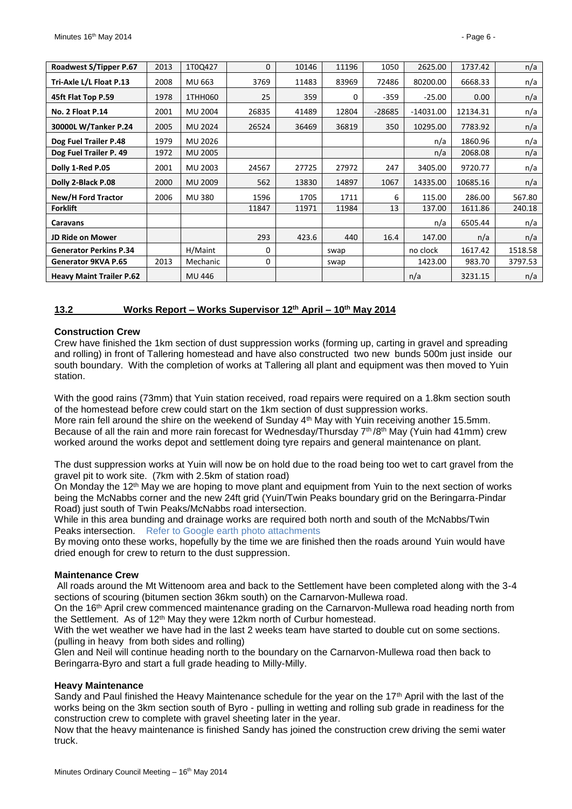| Roadwest S/Tipper P.67          | 2013 | 1T0Q427        | $\Omega$ | 10146 | 11196 | 1050     | 2625.00     | 1737.42  | n/a     |
|---------------------------------|------|----------------|----------|-------|-------|----------|-------------|----------|---------|
| Tri-Axle L/L Float P.13         | 2008 | MU 663         | 3769     | 11483 | 83969 | 72486    | 80200.00    | 6668.33  | n/a     |
| 45ft Flat Top P.59              | 1978 | 1THH060        | 25       | 359   | 0     | $-359$   | $-25.00$    | 0.00     | n/a     |
| No. 2 Float P.14                | 2001 | MU 2004        | 26835    | 41489 | 12804 | $-28685$ | $-14031.00$ | 12134.31 | n/a     |
| 30000L W/Tanker P.24            | 2005 | <b>MU 2024</b> | 26524    | 36469 | 36819 | 350      | 10295.00    | 7783.92  | n/a     |
| Dog Fuel Trailer P.48           | 1979 | MU 2026        |          |       |       |          | n/a         | 1860.96  | n/a     |
| Dog Fuel Trailer P. 49          | 1972 | MU 2005        |          |       |       |          | n/a         | 2068.08  | n/a     |
| Dolly 1-Red P.05                | 2001 | MU 2003        | 24567    | 27725 | 27972 | 247      | 3405.00     | 9720.77  | n/a     |
| Dolly 2-Black P.08              | 2000 | MU 2009        | 562      | 13830 | 14897 | 1067     | 14335.00    | 10685.16 | n/a     |
| <b>New/H Ford Tractor</b>       | 2006 | MU 380         | 1596     | 1705  | 1711  | 6        | 115.00      | 286.00   | 567.80  |
| <b>Forklift</b>                 |      |                | 11847    | 11971 | 11984 | 13       | 137.00      | 1611.86  | 240.18  |
| Caravans                        |      |                |          |       |       |          | n/a         | 6505.44  | n/a     |
| <b>JD Ride on Mower</b>         |      |                | 293      | 423.6 | 440   | 16.4     | 147.00      | n/a      | n/a     |
| <b>Generator Perkins P.34</b>   |      | H/Maint        | 0        |       | swap  |          | no clock    | 1617.42  | 1518.58 |
| Generator 9KVA P.65             | 2013 | Mechanic       | $\Omega$ |       | swap  |          | 1423.00     | 983.70   | 3797.53 |
| <b>Heavy Maint Trailer P.62</b> |      | MU 446         |          |       |       |          | n/a         | 3231.15  | n/a     |

#### <span id="page-5-0"></span>**13.2 Works Report – Works Supervisor 12th April – 10th May 2014**

#### **Construction Crew**

Crew have finished the 1km section of dust suppression works (forming up, carting in gravel and spreading and rolling) in front of Tallering homestead and have also constructed two new bunds 500m just inside our south boundary. With the completion of works at Tallering all plant and equipment was then moved to Yuin station.

With the good rains (73mm) that Yuin station received, road repairs were required on a 1.8km section south of the homestead before crew could start on the 1km section of dust suppression works. More rain fell around the shire on the weekend of Sunday 4<sup>th</sup> May with Yuin receiving another 15.5mm. Because of all the rain and more rain forecast for Wednesday/Thursday  $7<sup>th</sup>/8<sup>th</sup>$  May (Yuin had 41mm) crew worked around the works depot and settlement doing tyre repairs and general maintenance on plant.

The dust suppression works at Yuin will now be on hold due to the road being too wet to cart gravel from the gravel pit to work site. (7km with 2.5km of station road)

On Monday the 12<sup>th</sup> May we are hoping to move plant and equipment from Yuin to the next section of works being the McNabbs corner and the new 24ft grid (Yuin/Twin Peaks boundary grid on the Beringarra-Pindar Road) just south of Twin Peaks/McNabbs road intersection.

While in this area bunding and drainage works are required both north and south of the McNabbs/Twin Peaks intersection. Refer to Google earth photo attachments

By moving onto these works, hopefully by the time we are finished then the roads around Yuin would have dried enough for crew to return to the dust suppression.

#### **Maintenance Crew**

All roads around the Mt Wittenoom area and back to the Settlement have been completed along with the 3-4 sections of scouring (bitumen section 36km south) on the Carnarvon-Mullewa road.

On the 16<sup>th</sup> April crew commenced maintenance grading on the Carnarvon-Mullewa road heading north from the Settlement. As of 12<sup>th</sup> May they were 12km north of Curbur homestead.

With the wet weather we have had in the last 2 weeks team have started to double cut on some sections. (pulling in heavy from both sides and rolling)

Glen and Neil will continue heading north to the boundary on the Carnarvon-Mullewa road then back to Beringarra-Byro and start a full grade heading to Milly-Milly.

#### **Heavy Maintenance**

Sandy and Paul finished the Heavy Maintenance schedule for the year on the 17<sup>th</sup> April with the last of the works being on the 3km section south of Byro - pulling in wetting and rolling sub grade in readiness for the construction crew to complete with gravel sheeting later in the year.

Now that the heavy maintenance is finished Sandy has joined the construction crew driving the semi water truck.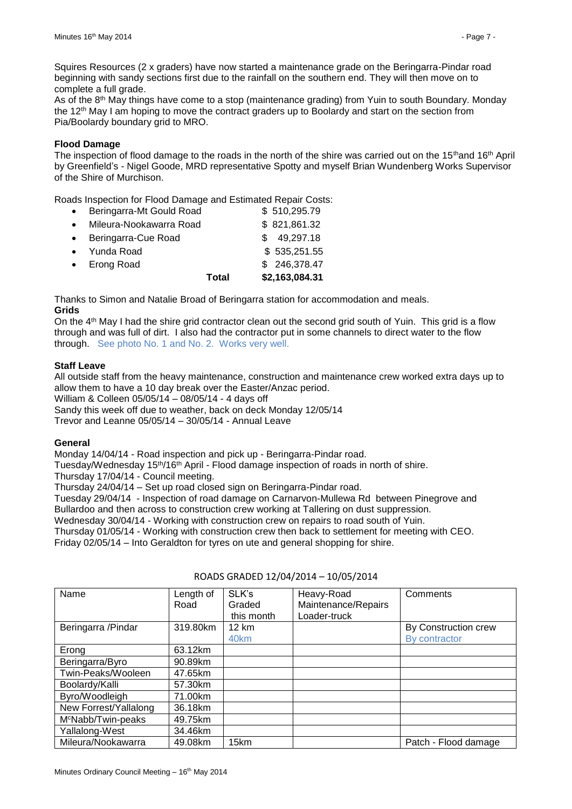Squires Resources (2 x graders) have now started a maintenance grade on the Beringarra-Pindar road beginning with sandy sections first due to the rainfall on the southern end. They will then move on to complete a full grade.

As of the 8th May things have come to a stop (maintenance grading) from Yuin to south Boundary. Monday the 12<sup>th</sup> May I am hoping to move the contract graders up to Boolardy and start on the section from Pia/Boolardy boundary grid to MRO.

#### **Flood Damage**

The inspection of flood damage to the roads in the north of the shire was carried out on the 15<sup>th</sup>and 16<sup>th</sup> April by Greenfield's - Nigel Goode, MRD representative Spotty and myself Brian Wundenberg Works Supervisor of the Shire of Murchison.

Roads Inspection for Flood Damage and Estimated Repair Costs:

|                          | Total | \$2,163,084.31 |
|--------------------------|-------|----------------|
| <b>Erong Road</b>        |       | \$246,378.47   |
| Yunda Road               |       | \$535,251.55   |
| Beringarra-Cue Road      |       | \$49,297.18    |
| Mileura-Nookawarra Road  |       | \$821,861.32   |
| Beringarra-Mt Gould Road |       | \$510,295.79   |

Thanks to Simon and Natalie Broad of Beringarra station for accommodation and meals. **Grids**

On the 4<sup>th</sup> May I had the shire grid contractor clean out the second grid south of Yuin. This grid is a flow through and was full of dirt. I also had the contractor put in some channels to direct water to the flow through. See photo No. 1 and No. 2. Works very well.

#### **Staff Leave**

All outside staff from the heavy maintenance, construction and maintenance crew worked extra days up to allow them to have a 10 day break over the Easter/Anzac period. William & Colleen 05/05/14 – 08/05/14 - 4 days off

Sandy this week off due to weather, back on deck Monday 12/05/14

Trevor and Leanne 05/05/14 – 30/05/14 - Annual Leave

#### **General**

Monday 14/04/14 - Road inspection and pick up - Beringarra-Pindar road.

Tuesday/Wednesday 15th/16th April - Flood damage inspection of roads in north of shire.

Thursday 17/04/14 - Council meeting.

Thursday 24/04/14 – Set up road closed sign on Beringarra-Pindar road.

Tuesday 29/04/14 - Inspection of road damage on Carnarvon-Mullewa Rd between Pinegrove and Bullardoo and then across to construction crew working at Tallering on dust suppression.

Wednesday 30/04/14 - Working with construction crew on repairs to road south of Yuin.

Thursday 01/05/14 - Working with construction crew then back to settlement for meeting with CEO.

Friday 02/05/14 – Into Geraldton for tyres on ute and general shopping for shire.

| Name                           | Length of<br>Road | SLK's<br>Graded<br>this month | Heavy-Road<br>Maintenance/Repairs<br>Loader-truck | Comments                              |
|--------------------------------|-------------------|-------------------------------|---------------------------------------------------|---------------------------------------|
| Beringarra /Pindar             | 319.80km          | 12 km<br>40km                 |                                                   | By Construction crew<br>By contractor |
| Erong                          | 63.12km           |                               |                                                   |                                       |
| Beringarra/Byro                | 90.89km           |                               |                                                   |                                       |
| Twin-Peaks/Wooleen             | 47.65km           |                               |                                                   |                                       |
| Boolardy/Kalli                 | 57.30km           |                               |                                                   |                                       |
| Byro/Woodleigh                 | 71.00km           |                               |                                                   |                                       |
| New Forrest/Yallalong          | 36.18km           |                               |                                                   |                                       |
| M <sup>c</sup> Nabb/Twin-peaks | 49.75km           |                               |                                                   |                                       |
| Yallalong-West                 | 34.46km           |                               |                                                   |                                       |
| Mileura/Nookawarra             | 49.08km           | 15km                          |                                                   | Patch - Flood damage                  |

#### ROADS GRADED 12/04/2014 – 10/05/2014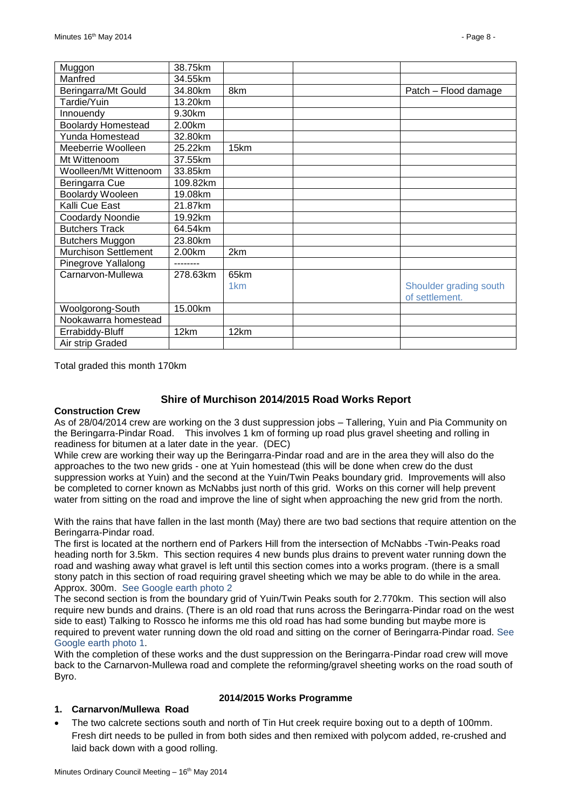| Muggon                      | 38.75km  |                 |                        |
|-----------------------------|----------|-----------------|------------------------|
| Manfred                     | 34.55km  |                 |                        |
| Beringarra/Mt Gould         | 34.80km  | 8km             | Patch - Flood damage   |
| Tardie/Yuin                 | 13.20km  |                 |                        |
| Innouendy                   | 9.30km   |                 |                        |
| <b>Boolardy Homestead</b>   | 2.00km   |                 |                        |
| Yunda Homestead             | 32.80km  |                 |                        |
| Meeberrie Woolleen          | 25.22km  | 15km            |                        |
| Mt Wittenoom                | 37.55km  |                 |                        |
| Woolleen/Mt Wittenoom       | 33.85km  |                 |                        |
| Beringarra Cue              | 109.82km |                 |                        |
| <b>Boolardy Wooleen</b>     | 19.08km  |                 |                        |
| Kalli Cue East              | 21.87km  |                 |                        |
| Coodardy Noondie            | 19.92km  |                 |                        |
| <b>Butchers Track</b>       | 64.54km  |                 |                        |
| <b>Butchers Muggon</b>      | 23.80km  |                 |                        |
| <b>Murchison Settlement</b> | 2.00km   | 2km             |                        |
| Pinegrove Yallalong         |          |                 |                        |
| Carnarvon-Mullewa           | 278.63km | 65km            |                        |
|                             |          | 1 <sub>km</sub> | Shoulder grading south |
|                             |          |                 | of settlement.         |
| Woolgorong-South            | 15.00km  |                 |                        |
| Nookawarra homestead        |          |                 |                        |
| Errabiddy-Bluff             | 12km     | 12km            |                        |
| Air strip Graded            |          |                 |                        |

Total graded this month 170km

#### **Shire of Murchison 2014/2015 Road Works Report**

#### **Construction Crew**

As of 28/04/2014 crew are working on the 3 dust suppression jobs – Tallering, Yuin and Pia Community on the Beringarra-Pindar Road. This involves 1 km of forming up road plus gravel sheeting and rolling in readiness for bitumen at a later date in the year. (DEC)

While crew are working their way up the Beringarra-Pindar road and are in the area they will also do the approaches to the two new grids - one at Yuin homestead (this will be done when crew do the dust suppression works at Yuin) and the second at the Yuin/Twin Peaks boundary grid. Improvements will also be completed to corner known as McNabbs just north of this grid. Works on this corner will help prevent water from sitting on the road and improve the line of sight when approaching the new grid from the north.

With the rains that have fallen in the last month (May) there are two bad sections that require attention on the Beringarra-Pindar road.

The first is located at the northern end of Parkers Hill from the intersection of McNabbs -Twin-Peaks road heading north for 3.5km. This section requires 4 new bunds plus drains to prevent water running down the road and washing away what gravel is left until this section comes into a works program. (there is a small stony patch in this section of road requiring gravel sheeting which we may be able to do while in the area. Approx. 300m. See Google earth photo 2

The second section is from the boundary grid of Yuin/Twin Peaks south for 2.770km. This section will also require new bunds and drains. (There is an old road that runs across the Beringarra-Pindar road on the west side to east) Talking to Rossco he informs me this old road has had some bunding but maybe more is required to prevent water running down the old road and sitting on the corner of Beringarra-Pindar road. See Google earth photo 1.

With the completion of these works and the dust suppression on the Beringarra-Pindar road crew will move back to the Carnarvon-Mullewa road and complete the reforming/gravel sheeting works on the road south of Byro.

#### **1. Carnarvon/Mullewa Road**

#### **2014/2015 Works Programme**

 The two calcrete sections south and north of Tin Hut creek require boxing out to a depth of 100mm. Fresh dirt needs to be pulled in from both sides and then remixed with polycom added, re-crushed and laid back down with a good rolling.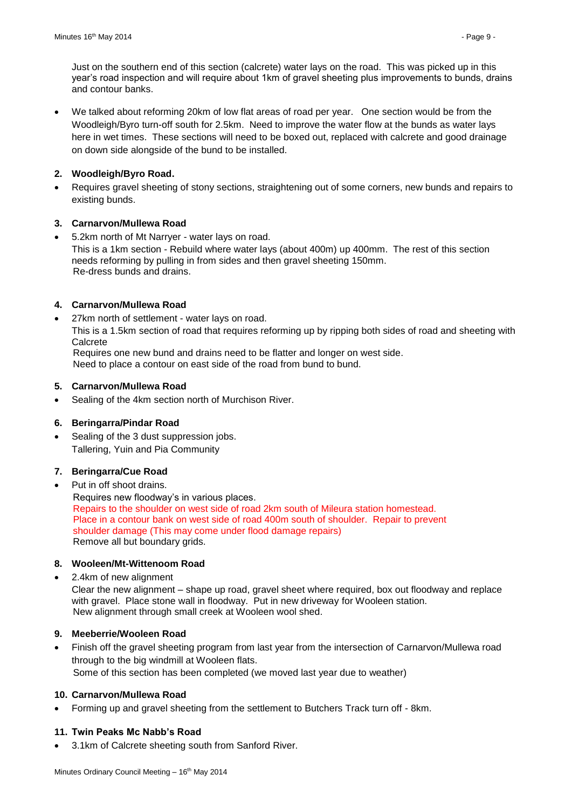Just on the southern end of this section (calcrete) water lays on the road. This was picked up in this year's road inspection and will require about 1km of gravel sheeting plus improvements to bunds, drains and contour banks.

 We talked about reforming 20km of low flat areas of road per year. One section would be from the Woodleigh/Byro turn-off south for 2.5km. Need to improve the water flow at the bunds as water lays here in wet times. These sections will need to be boxed out, replaced with calcrete and good drainage on down side alongside of the bund to be installed.

# **2. Woodleigh/Byro Road.**

 Requires gravel sheeting of stony sections, straightening out of some corners, new bunds and repairs to existing bunds.

# **3. Carnarvon/Mullewa Road**

 5.2km north of Mt Narryer - water lays on road. This is a 1km section - Rebuild where water lays (about 400m) up 400mm. The rest of this section needs reforming by pulling in from sides and then gravel sheeting 150mm. Re-dress bunds and drains.

# **4. Carnarvon/Mullewa Road**

27km north of settlement - water lays on road.

This is a 1.5km section of road that requires reforming up by ripping both sides of road and sheeting with **Calcrete** 

 Requires one new bund and drains need to be flatter and longer on west side. Need to place a contour on east side of the road from bund to bund.

# **5. Carnarvon/Mullewa Road**

• Sealing of the 4km section north of Murchison River.

# **6. Beringarra/Pindar Road**

• Sealing of the 3 dust suppression jobs. Tallering, Yuin and Pia Community

# **7. Beringarra/Cue Road**

Put in off shoot drains.

 Requires new floodway's in various places. Repairs to the shoulder on west side of road 2km south of Mileura station homestead. Place in a contour bank on west side of road 400m south of shoulder. Repair to prevent shoulder damage (This may come under flood damage repairs) Remove all but boundary grids.

# **8. Wooleen/Mt-Wittenoom Road**

2.4km of new alignment

Clear the new alignment – shape up road, gravel sheet where required, box out floodway and replace with gravel. Place stone wall in floodway. Put in new driveway for Wooleen station. New alignment through small creek at Wooleen wool shed.

# **9. Meeberrie/Wooleen Road**

 Finish off the gravel sheeting program from last year from the intersection of Carnarvon/Mullewa road through to the big windmill at Wooleen flats. Some of this section has been completed (we moved last year due to weather)

# **10. Carnarvon/Mullewa Road**

Forming up and gravel sheeting from the settlement to Butchers Track turn off - 8km.

# **11. Twin Peaks Mc Nabb's Road**

3.1km of Calcrete sheeting south from Sanford River.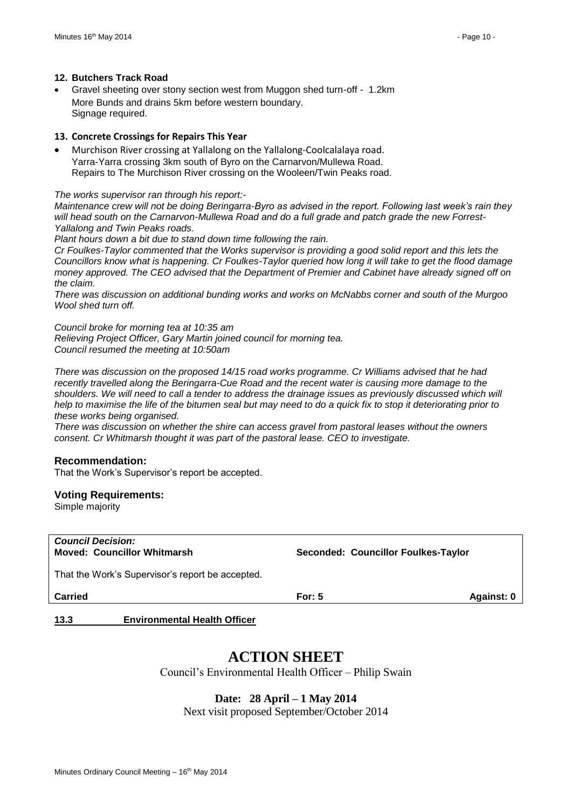#### **12. Butchers Track Road**

 Gravel sheeting over stony section west from Muggon shed turn-off - 1.2km More Bunds and drains 5km before western boundary. Signage required.

#### **13. Concrete Crossings for Repairs This Year**

 Murchison River crossing at Yallalong on the Yallalong-Coolcalalaya road. Yarra-Yarra crossing 3km south of Byro on the Carnarvon/Mullewa Road. Repairs to The Murchison River crossing on the Wooleen/Twin Peaks road.

#### *The works supervisor ran through his report:-*

*Maintenance crew will not be doing Beringarra-Byro as advised in the report. Following last week's rain they will head south on the Carnarvon-Mullewa Road and do a full grade and patch grade the new Forrest-Yallalong and Twin Peaks roads.* 

*Plant hours down a bit due to stand down time following the rain.*

*Cr Foulkes-Taylor commented that the Works supervisor is providing a good solid report and this lets the Councillors know what is happening. Cr Foulkes-Taylor queried how long it will take to get the flood damage money approved. The CEO advised that the Department of Premier and Cabinet have already signed off on the claim.*

*There was discussion on additional bunding works and works on McNabbs corner and south of the Murgoo Wool shed turn off.*

*Council broke for morning tea at 10:35 am*

*Relieving Project Officer, Gary Martin joined council for morning tea. Council resumed the meeting at 10:50am*

*There was discussion on the proposed 14/15 road works programme. Cr Williams advised that he had recently travelled along the Beringarra-Cue Road and the recent water is causing more damage to the shoulders. We will need to call a tender to address the drainage issues as previously discussed which will help to maximise the life of the bitumen seal but may need to do a quick fix to stop it deteriorating prior to these works being organised.*

*There was discussion on whether the shire can access gravel from pastoral leases without the owners consent. Cr Whitmarsh thought it was part of the pastoral lease. CEO to investigate.*

#### **Recommendation:**

That the Work's Supervisor's report be accepted.

#### **Voting Requirements:**

Simple majority

| <b>Council Decision:</b><br><b>Moved: Councillor Whitmarsh</b> | Seconded: Councillor Foulkes-Taylor |            |
|----------------------------------------------------------------|-------------------------------------|------------|
| That the Work's Supervisor's report be accepted.               |                                     |            |
| Carried                                                        | For: $5$                            | Against: 0 |

#### <span id="page-9-0"></span>**13.3 Environmental Health Officer**

# **ACTION SHEET**

Council's Environmental Health Officer – Philip Swain

# **Date: 28 April – 1 May 2014**

Next visit proposed September/October 2014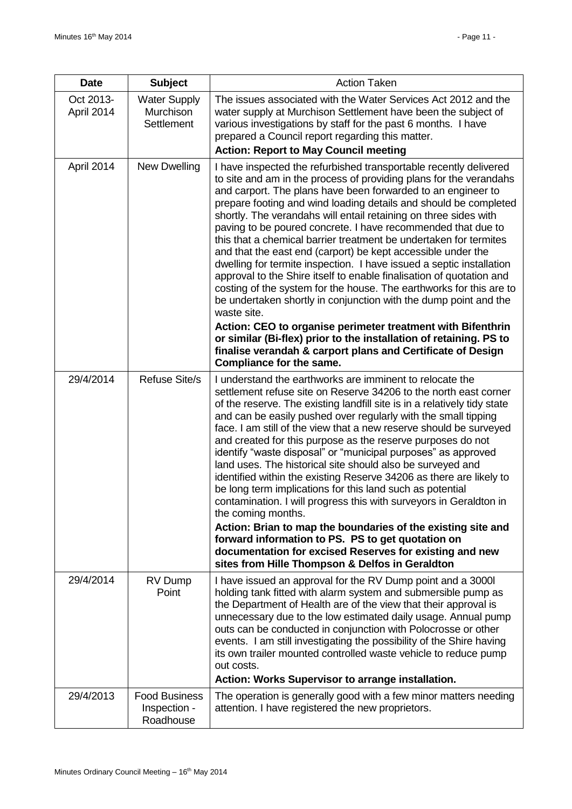| <b>Date</b>             | <b>Subject</b>                                        | <b>Action Taken</b>                                                                                                                                                                                                                                                                                                                                                                                                                                                                                                                                                                                                                                                                                                                                                                                                                                                                                                                                                                                                                                                                            |
|-------------------------|-------------------------------------------------------|------------------------------------------------------------------------------------------------------------------------------------------------------------------------------------------------------------------------------------------------------------------------------------------------------------------------------------------------------------------------------------------------------------------------------------------------------------------------------------------------------------------------------------------------------------------------------------------------------------------------------------------------------------------------------------------------------------------------------------------------------------------------------------------------------------------------------------------------------------------------------------------------------------------------------------------------------------------------------------------------------------------------------------------------------------------------------------------------|
| Oct 2013-<br>April 2014 | <b>Water Supply</b><br>Murchison<br><b>Settlement</b> | The issues associated with the Water Services Act 2012 and the<br>water supply at Murchison Settlement have been the subject of<br>various investigations by staff for the past 6 months. I have<br>prepared a Council report regarding this matter.<br><b>Action: Report to May Council meeting</b>                                                                                                                                                                                                                                                                                                                                                                                                                                                                                                                                                                                                                                                                                                                                                                                           |
| April 2014              | New Dwelling                                          | I have inspected the refurbished transportable recently delivered<br>to site and am in the process of providing plans for the verandahs<br>and carport. The plans have been forwarded to an engineer to<br>prepare footing and wind loading details and should be completed<br>shortly. The verandahs will entail retaining on three sides with<br>paving to be poured concrete. I have recommended that due to<br>this that a chemical barrier treatment be undertaken for termites<br>and that the east end (carport) be kept accessible under the<br>dwelling for termite inspection. I have issued a septic installation<br>approval to the Shire itself to enable finalisation of quotation and<br>costing of the system for the house. The earthworks for this are to<br>be undertaken shortly in conjunction with the dump point and the<br>waste site.<br>Action: CEO to organise perimeter treatment with Bifenthrin<br>or similar (Bi-flex) prior to the installation of retaining. PS to<br>finalise verandah & carport plans and Certificate of Design<br>Compliance for the same. |
| 29/4/2014               | <b>Refuse Site/s</b>                                  | I understand the earthworks are imminent to relocate the<br>settlement refuse site on Reserve 34206 to the north east corner<br>of the reserve. The existing landfill site is in a relatively tidy state<br>and can be easily pushed over regularly with the small tipping<br>face. I am still of the view that a new reserve should be surveyed<br>and created for this purpose as the reserve purposes do not<br>identify "waste disposal" or "municipal purposes" as approved<br>land uses. The historical site should also be surveyed and<br>identified within the existing Reserve 34206 as there are likely to<br>be long term implications for this land such as potential<br>contamination. I will progress this with surveyors in Geraldton in<br>the coming months.<br>Action: Brian to map the boundaries of the existing site and<br>forward information to PS. PS to get quotation on<br>documentation for excised Reserves for existing and new<br>sites from Hille Thompson & Delfos in Geraldton                                                                              |
| 29/4/2014               | RV Dump<br>Point                                      | I have issued an approval for the RV Dump point and a 3000<br>holding tank fitted with alarm system and submersible pump as<br>the Department of Health are of the view that their approval is<br>unnecessary due to the low estimated daily usage. Annual pump<br>outs can be conducted in conjunction with Polocrosse or other<br>events. I am still investigating the possibility of the Shire having<br>its own trailer mounted controlled waste vehicle to reduce pump<br>out costs.<br>Action: Works Supervisor to arrange installation.                                                                                                                                                                                                                                                                                                                                                                                                                                                                                                                                                 |
| 29/4/2013               | <b>Food Business</b><br>Inspection -<br>Roadhouse     | The operation is generally good with a few minor matters needing<br>attention. I have registered the new proprietors.                                                                                                                                                                                                                                                                                                                                                                                                                                                                                                                                                                                                                                                                                                                                                                                                                                                                                                                                                                          |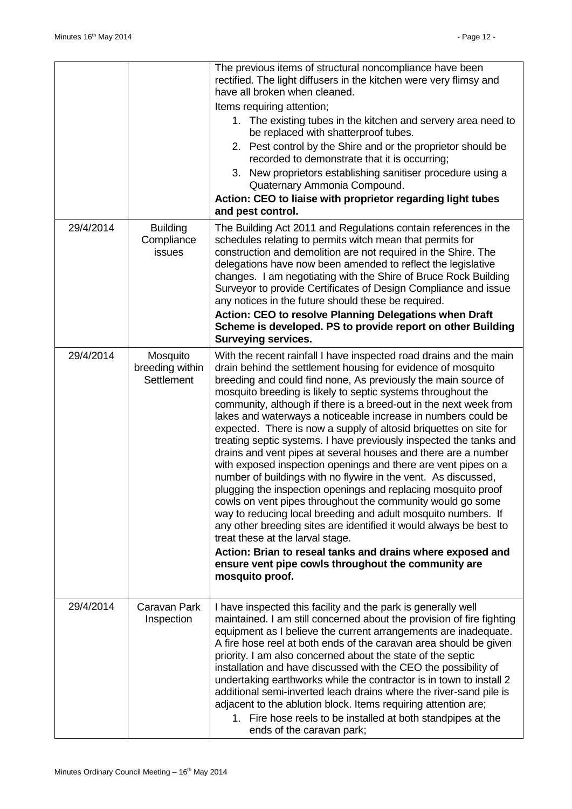|           |                                                  | The previous items of structural noncompliance have been<br>rectified. The light diffusers in the kitchen were very flimsy and<br>have all broken when cleaned.<br>Items requiring attention;<br>1. The existing tubes in the kitchen and servery area need to<br>be replaced with shatterproof tubes.<br>2. Pest control by the Shire and or the proprietor should be<br>recorded to demonstrate that it is occurring;<br>3. New proprietors establishing sanitiser procedure using a<br>Quaternary Ammonia Compound.<br>Action: CEO to liaise with proprietor regarding light tubes<br>and pest control.                                                                                                                                                                                                                                                                                                                                                                                                                                                                                                                                                                                                    |
|-----------|--------------------------------------------------|---------------------------------------------------------------------------------------------------------------------------------------------------------------------------------------------------------------------------------------------------------------------------------------------------------------------------------------------------------------------------------------------------------------------------------------------------------------------------------------------------------------------------------------------------------------------------------------------------------------------------------------------------------------------------------------------------------------------------------------------------------------------------------------------------------------------------------------------------------------------------------------------------------------------------------------------------------------------------------------------------------------------------------------------------------------------------------------------------------------------------------------------------------------------------------------------------------------|
| 29/4/2014 | <b>Building</b><br>Compliance<br><b>issues</b>   | The Building Act 2011 and Regulations contain references in the<br>schedules relating to permits witch mean that permits for<br>construction and demolition are not required in the Shire. The<br>delegations have now been amended to reflect the legislative<br>changes. I am negotiating with the Shire of Bruce Rock Building<br>Surveyor to provide Certificates of Design Compliance and issue<br>any notices in the future should these be required.<br>Action: CEO to resolve Planning Delegations when Draft<br>Scheme is developed. PS to provide report on other Building<br><b>Surveying services.</b>                                                                                                                                                                                                                                                                                                                                                                                                                                                                                                                                                                                            |
| 29/4/2014 | Mosquito<br>breeding within<br><b>Settlement</b> | With the recent rainfall I have inspected road drains and the main<br>drain behind the settlement housing for evidence of mosquito<br>breeding and could find none, As previously the main source of<br>mosquito breeding is likely to septic systems throughout the<br>community, although if there is a breed-out in the next week from<br>lakes and waterways a noticeable increase in numbers could be<br>expected. There is now a supply of altosid briquettes on site for<br>treating septic systems. I have previously inspected the tanks and<br>drains and vent pipes at several houses and there are a number<br>with exposed inspection openings and there are vent pipes on a<br>number of buildings with no flywire in the vent. As discussed,<br>plugging the inspection openings and replacing mosquito proof<br>cowls on vent pipes throughout the community would go some<br>way to reducing local breeding and adult mosquito numbers. If<br>any other breeding sites are identified it would always be best to<br>treat these at the larval stage.<br>Action: Brian to reseal tanks and drains where exposed and<br>ensure vent pipe cowls throughout the community are<br>mosquito proof. |
| 29/4/2014 | Caravan Park<br>Inspection                       | I have inspected this facility and the park is generally well<br>maintained. I am still concerned about the provision of fire fighting<br>equipment as I believe the current arrangements are inadequate.<br>A fire hose reel at both ends of the caravan area should be given<br>priority. I am also concerned about the state of the septic<br>installation and have discussed with the CEO the possibility of<br>undertaking earthworks while the contractor is in town to install 2<br>additional semi-inverted leach drains where the river-sand pile is<br>adjacent to the ablution block. Items requiring attention are;<br>1. Fire hose reels to be installed at both standpipes at the<br>ends of the caravan park;                                                                                                                                                                                                                                                                                                                                                                                                                                                                                  |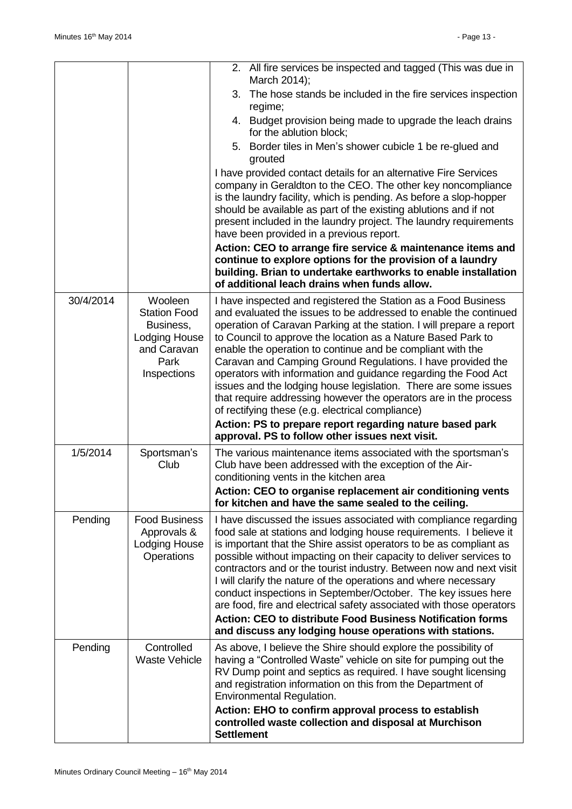|           |                                                                                                    | 2. All fire services be inspected and tagged (This was due in<br>March 2014);                                                                                                                                                                                                                                                                                                                                                                                                                                                                                                                                                                                                                                                                                                       |
|-----------|----------------------------------------------------------------------------------------------------|-------------------------------------------------------------------------------------------------------------------------------------------------------------------------------------------------------------------------------------------------------------------------------------------------------------------------------------------------------------------------------------------------------------------------------------------------------------------------------------------------------------------------------------------------------------------------------------------------------------------------------------------------------------------------------------------------------------------------------------------------------------------------------------|
|           |                                                                                                    | 3. The hose stands be included in the fire services inspection<br>regime;                                                                                                                                                                                                                                                                                                                                                                                                                                                                                                                                                                                                                                                                                                           |
|           |                                                                                                    | 4. Budget provision being made to upgrade the leach drains<br>for the ablution block;                                                                                                                                                                                                                                                                                                                                                                                                                                                                                                                                                                                                                                                                                               |
|           |                                                                                                    | Border tiles in Men's shower cubicle 1 be re-glued and<br>5.<br>grouted                                                                                                                                                                                                                                                                                                                                                                                                                                                                                                                                                                                                                                                                                                             |
|           |                                                                                                    | I have provided contact details for an alternative Fire Services<br>company in Geraldton to the CEO. The other key noncompliance<br>is the laundry facility, which is pending. As before a slop-hopper<br>should be available as part of the existing ablutions and if not<br>present included in the laundry project. The laundry requirements<br>have been provided in a previous report.<br>Action: CEO to arrange fire service & maintenance items and<br>continue to explore options for the provision of a laundry<br>building. Brian to undertake earthworks to enable installation<br>of additional leach drains when funds allow.                                                                                                                                          |
| 30/4/2014 | Wooleen<br><b>Station Food</b><br>Business,<br>Lodging House<br>and Caravan<br>Park<br>Inspections | I have inspected and registered the Station as a Food Business<br>and evaluated the issues to be addressed to enable the continued<br>operation of Caravan Parking at the station. I will prepare a report<br>to Council to approve the location as a Nature Based Park to<br>enable the operation to continue and be compliant with the<br>Caravan and Camping Ground Regulations. I have provided the<br>operators with information and guidance regarding the Food Act<br>issues and the lodging house legislation. There are some issues<br>that require addressing however the operators are in the process<br>of rectifying these (e.g. electrical compliance)<br>Action: PS to prepare report regarding nature based park<br>approval. PS to follow other issues next visit. |
| 1/5/2014  | Sportsman's<br>Club                                                                                | The various maintenance items associated with the sportsman's<br>Club have been addressed with the exception of the Air-<br>conditioning vents in the kitchen area<br>Action: CEO to organise replacement air conditioning vents<br>for kitchen and have the same sealed to the ceiling.                                                                                                                                                                                                                                                                                                                                                                                                                                                                                            |
| Pending   | <b>Food Business</b><br>Approvals &<br><b>Lodging House</b><br><b>Operations</b>                   | I have discussed the issues associated with compliance regarding<br>food sale at stations and lodging house requirements. I believe it<br>is important that the Shire assist operators to be as compliant as<br>possible without impacting on their capacity to deliver services to<br>contractors and or the tourist industry. Between now and next visit<br>I will clarify the nature of the operations and where necessary<br>conduct inspections in September/October. The key issues here<br>are food, fire and electrical safety associated with those operators<br><b>Action: CEO to distribute Food Business Notification forms</b><br>and discuss any lodging house operations with stations.                                                                              |
| Pending   | Controlled<br><b>Waste Vehicle</b>                                                                 | As above, I believe the Shire should explore the possibility of<br>having a "Controlled Waste" vehicle on site for pumping out the<br>RV Dump point and septics as required. I have sought licensing<br>and registration information on this from the Department of<br>Environmental Regulation.<br>Action: EHO to confirm approval process to establish                                                                                                                                                                                                                                                                                                                                                                                                                            |
|           |                                                                                                    | controlled waste collection and disposal at Murchison<br><b>Settlement</b>                                                                                                                                                                                                                                                                                                                                                                                                                                                                                                                                                                                                                                                                                                          |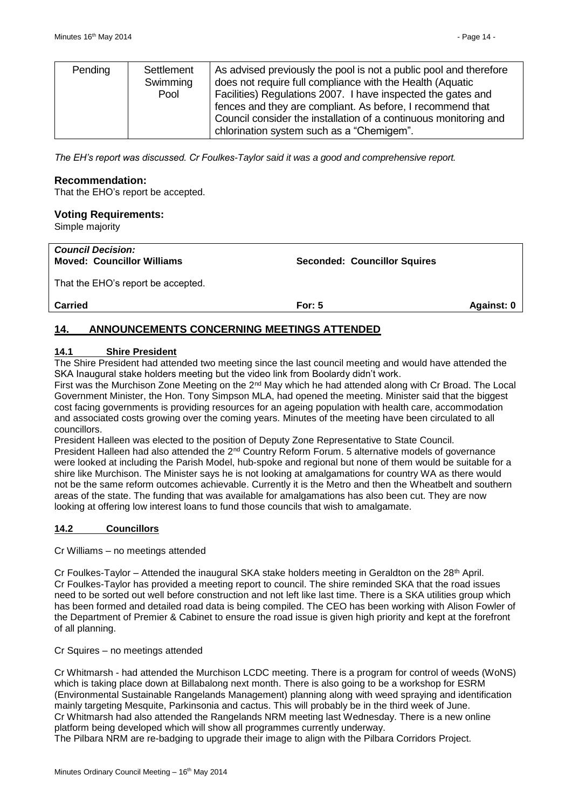| Pending | Settlement<br>Swimming<br>Pool | As advised previously the pool is not a public pool and therefore<br>does not require full compliance with the Health (Aquatic<br>Facilities) Regulations 2007. I have inspected the gates and<br>fences and they are compliant. As before, I recommend that<br>Council consider the installation of a continuous monitoring and<br>chlorination system such as a "Chemigem". |
|---------|--------------------------------|-------------------------------------------------------------------------------------------------------------------------------------------------------------------------------------------------------------------------------------------------------------------------------------------------------------------------------------------------------------------------------|
|---------|--------------------------------|-------------------------------------------------------------------------------------------------------------------------------------------------------------------------------------------------------------------------------------------------------------------------------------------------------------------------------------------------------------------------------|

*The EH's report was discussed. Cr Foulkes-Taylor said it was a good and comprehensive report.*

#### **Recommendation:**

That the EHO's report be accepted.

#### **Voting Requirements:**

Simple majority

| For: $5$ | Against: 0                          |
|----------|-------------------------------------|
|          | <b>Seconded: Councillor Squires</b> |

# <span id="page-13-0"></span>**14. ANNOUNCEMENTS CONCERNING MEETINGS ATTENDED**

#### <span id="page-13-1"></span>**14.1 Shire President**

The Shire President had attended two meeting since the last council meeting and would have attended the SKA Inaugural stake holders meeting but the video link from Boolardy didn't work.

First was the Murchison Zone Meeting on the 2nd May which he had attended along with Cr Broad. The Local Government Minister, the Hon. Tony Simpson MLA, had opened the meeting. Minister said that the biggest cost facing governments is providing resources for an ageing population with health care, accommodation and associated costs growing over the coming years. Minutes of the meeting have been circulated to all councillors.

President Halleen was elected to the position of Deputy Zone Representative to State Council. President Halleen had also attended the 2<sup>nd</sup> Country Reform Forum. 5 alternative models of governance were looked at including the Parish Model, hub-spoke and regional but none of them would be suitable for a shire like Murchison. The Minister says he is not looking at amalgamations for country WA as there would not be the same reform outcomes achievable. Currently it is the Metro and then the Wheatbelt and southern areas of the state. The funding that was available for amalgamations has also been cut. They are now looking at offering low interest loans to fund those councils that wish to amalgamate.

#### <span id="page-13-2"></span>**14.2 Councillors**

Cr Williams – no meetings attended

Cr Foulkes-Taylor – Attended the inaugural SKA stake holders meeting in Geraldton on the 28<sup>th</sup> April. Cr Foulkes-Taylor has provided a meeting report to council. The shire reminded SKA that the road issues need to be sorted out well before construction and not left like last time. There is a SKA utilities group which has been formed and detailed road data is being compiled. The CEO has been working with Alison Fowler of the Department of Premier & Cabinet to ensure the road issue is given high priority and kept at the forefront of all planning.

#### Cr Squires – no meetings attended

Cr Whitmarsh - had attended the Murchison LCDC meeting. There is a program for control of weeds (WoNS) which is taking place down at Billabalong next month. There is also going to be a workshop for ESRM (Environmental Sustainable Rangelands Management) planning along with weed spraying and identification mainly targeting Mesquite, Parkinsonia and cactus. This will probably be in the third week of June. Cr Whitmarsh had also attended the Rangelands NRM meeting last Wednesday. There is a new online platform being developed which will show all programmes currently underway. The Pilbara NRM are re-badging to upgrade their image to align with the Pilbara Corridors Project.

Minutes Ordinary Council Meeting - 16<sup>th</sup> May 2014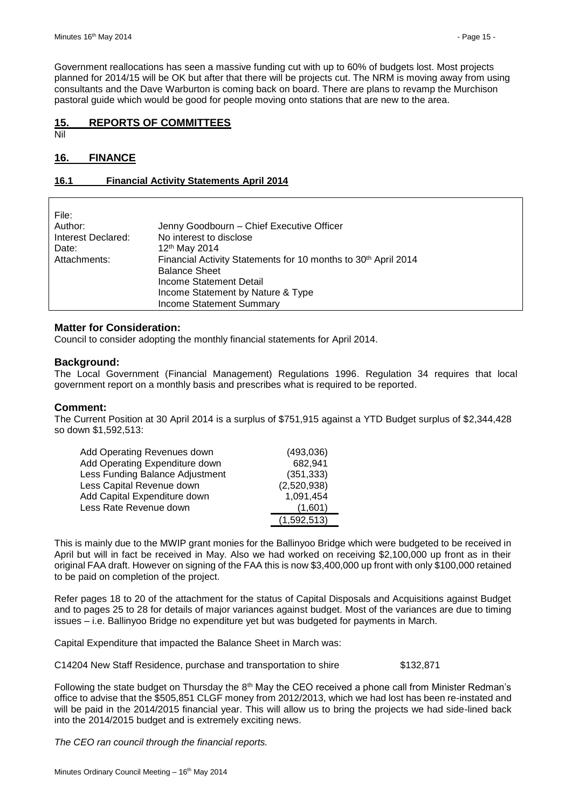Government reallocations has seen a massive funding cut with up to 60% of budgets lost. Most projects planned for 2014/15 will be OK but after that there will be projects cut. The NRM is moving away from using consultants and the Dave Warburton is coming back on board. There are plans to revamp the Murchison pastoral guide which would be good for people moving onto stations that are new to the area.

## <span id="page-14-0"></span>**15. REPORTS OF COMMITTEES**

Nil

## <span id="page-14-1"></span>**16. FINANCE**

#### <span id="page-14-2"></span>**16.1 Financial Activity Statements April 2014**

| No interest to disclose<br>Interest Declared:<br>12 <sup>th</sup> May 2014<br>Date:<br>Financial Activity Statements for 10 months to 30 <sup>th</sup> April 2014<br>Attachments:<br><b>Balance Sheet</b><br>Income Statement Detail<br>Income Statement by Nature & Type<br><b>Income Statement Summary</b> | File:<br>Author: | Jenny Goodbourn - Chief Executive Officer |
|--------------------------------------------------------------------------------------------------------------------------------------------------------------------------------------------------------------------------------------------------------------------------------------------------------------|------------------|-------------------------------------------|
|--------------------------------------------------------------------------------------------------------------------------------------------------------------------------------------------------------------------------------------------------------------------------------------------------------------|------------------|-------------------------------------------|

#### **Matter for Consideration:**

Council to consider adopting the monthly financial statements for April 2014.

#### **Background:**

The Local Government (Financial Management) Regulations 1996. Regulation 34 requires that local government report on a monthly basis and prescribes what is required to be reported.

#### **Comment:**

The Current Position at 30 April 2014 is a surplus of \$751,915 against a YTD Budget surplus of \$2,344,428 so down \$1,592,513:

| Add Operating Revenues down     | (493,036)   |
|---------------------------------|-------------|
| Add Operating Expenditure down  | 682,941     |
| Less Funding Balance Adjustment | (351, 333)  |
| Less Capital Revenue down       | (2,520,938) |
| Add Capital Expenditure down    | 1,091,454   |
| Less Rate Revenue down          | (1,601)     |
|                                 | (1,592,513) |

This is mainly due to the MWIP grant monies for the Ballinyoo Bridge which were budgeted to be received in April but will in fact be received in May. Also we had worked on receiving \$2,100,000 up front as in their original FAA draft. However on signing of the FAA this is now \$3,400,000 up front with only \$100,000 retained to be paid on completion of the project.

Refer pages 18 to 20 of the attachment for the status of Capital Disposals and Acquisitions against Budget and to pages 25 to 28 for details of major variances against budget. Most of the variances are due to timing issues – i.e. Ballinyoo Bridge no expenditure yet but was budgeted for payments in March.

Capital Expenditure that impacted the Balance Sheet in March was:

C14204 New Staff Residence, purchase and transportation to shire \$132,871

Following the state budget on Thursday the  $8<sup>th</sup>$  May the CEO received a phone call from Minister Redman's office to advise that the \$505,851 CLGF money from 2012/2013, which we had lost has been re-instated and will be paid in the 2014/2015 financial year. This will allow us to bring the projects we had side-lined back into the 2014/2015 budget and is extremely exciting news.

*The CEO ran council through the financial reports.*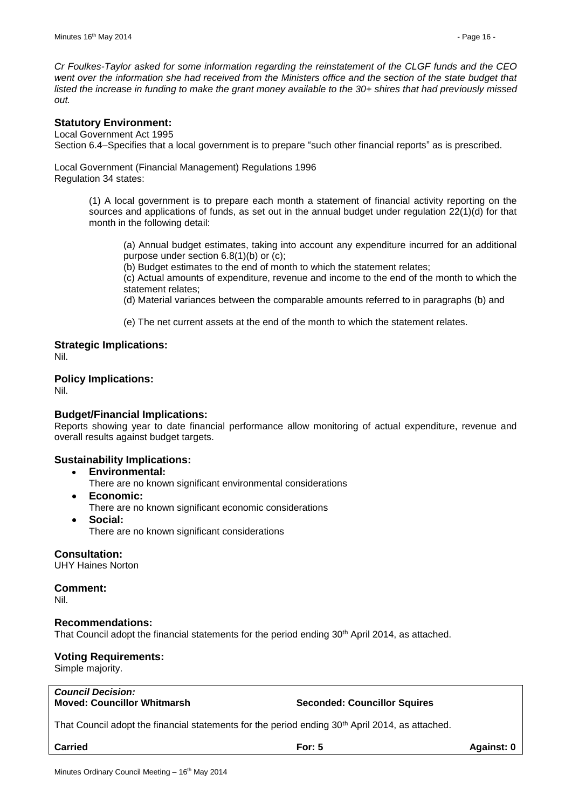*Cr Foulkes-Taylor asked for some information regarding the reinstatement of the CLGF funds and the CEO*  went over the information she had received from the Ministers office and the section of the state budget that *listed the increase in funding to make the grant money available to the 30+ shires that had previously missed out.*

### **Statutory Environment:**

Local Government Act 1995 Section 6.4–Specifies that a local government is to prepare "such other financial reports" as is prescribed.

Local Government (Financial Management) Regulations 1996 Regulation 34 states:

> (1) A local government is to prepare each month a statement of financial activity reporting on the sources and applications of funds, as set out in the annual budget under regulation 22(1)(d) for that month in the following detail:

(a) Annual budget estimates, taking into account any expenditure incurred for an additional purpose under section 6.8(1)(b) or (c);

(b) Budget estimates to the end of month to which the statement relates;

(c) Actual amounts of expenditure, revenue and income to the end of the month to which the statement relates;

(d) Material variances between the comparable amounts referred to in paragraphs (b) and

(e) The net current assets at the end of the month to which the statement relates.

**Strategic Implications:** Nil.

**Policy Implications:**

Nil.

#### **Budget/Financial Implications:**

Reports showing year to date financial performance allow monitoring of actual expenditure, revenue and overall results against budget targets.

# **Sustainability Implications:**

- **Environmental:**
	- There are no known significant environmental considerations
- **Economic:**
	- There are no known significant economic considerations
- **Social:** There are no known significant considerations

**Consultation:** UHY Haines Norton

**Comment:** Nil.

#### **Recommendations:**

That Council adopt the financial statements for the period ending 30<sup>th</sup> April 2014, as attached.

#### **Voting Requirements:**

Simple majority.

*Council Decision:*

#### **Moved: Councillor Whitmarsh Seconded: Councillor Squires**

That Council adopt the financial statements for the period ending 30<sup>th</sup> April 2014, as attached.

**Carried For: 5 Against: 0**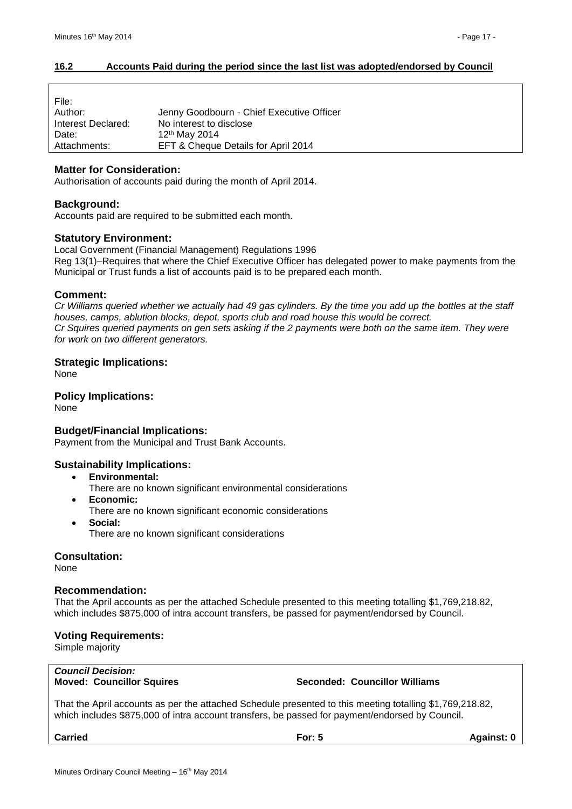#### <span id="page-16-0"></span>**16.2 Accounts Paid during the period since the last list was adopted/endorsed by Council**

| File:              |                                           |
|--------------------|-------------------------------------------|
| Author:            | Jenny Goodbourn - Chief Executive Officer |
| Interest Declared: | No interest to disclose                   |
| Date:              | 12 <sup>th</sup> May 2014                 |
| Attachments:       | EFT & Cheque Details for April 2014       |

#### **Matter for Consideration:**

Authorisation of accounts paid during the month of April 2014.

#### **Background:**

Accounts paid are required to be submitted each month.

#### **Statutory Environment:**

Local Government (Financial Management) Regulations 1996 Reg 13(1)–Requires that where the Chief Executive Officer has delegated power to make payments from the Municipal or Trust funds a list of accounts paid is to be prepared each month.

#### **Comment:**

*Cr Williams queried whether we actually had 49 gas cylinders. By the time you add up the bottles at the staff houses, camps, ablution blocks, depot, sports club and road house this would be correct. Cr Squires queried payments on gen sets asking if the 2 payments were both on the same item. They were for work on two different generators.*

#### **Strategic Implications:**

None

# **Policy Implications:**

None

#### **Budget/Financial Implications:**

Payment from the Municipal and Trust Bank Accounts.

#### **Sustainability Implications:**

- **Environmental:**
	- There are no known significant environmental considerations
- **Economic:**
- There are no known significant economic considerations
- **Social:** There are no known significant considerations

#### **Consultation:**

None

#### **Recommendation:**

That the April accounts as per the attached Schedule presented to this meeting totalling \$1,769,218.82, which includes \$875,000 of intra account transfers, be passed for payment/endorsed by Council.

#### **Voting Requirements:**

Simple majority

# *Council Decision:*

#### **Moved: Councillor Squires Seconded: Councillor Williams**

That the April accounts as per the attached Schedule presented to this meeting totalling \$1,769,218.82, which includes \$875,000 of intra account transfers, be passed for payment/endorsed by Council.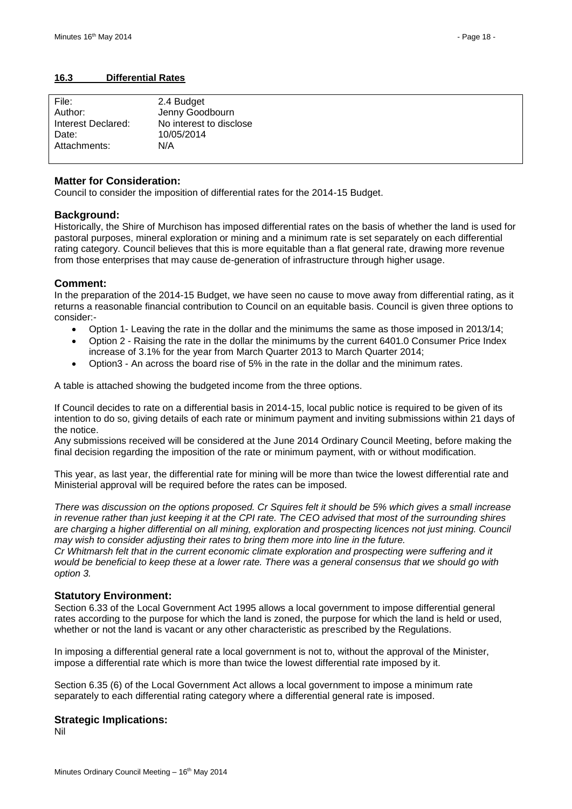#### <span id="page-17-0"></span>**16.3 Differential Rates**

| File:              | 2.4 Budget              |
|--------------------|-------------------------|
| Author:            | Jenny Goodbourn         |
| Interest Declared: | No interest to disclose |
| Date:              | 10/05/2014              |
| Attachments:       | N/A                     |
|                    |                         |

#### **Matter for Consideration:**

Council to consider the imposition of differential rates for the 2014-15 Budget.

#### **Background:**

Historically, the Shire of Murchison has imposed differential rates on the basis of whether the land is used for pastoral purposes, mineral exploration or mining and a minimum rate is set separately on each differential rating category. Council believes that this is more equitable than a flat general rate, drawing more revenue from those enterprises that may cause de-generation of infrastructure through higher usage.

#### **Comment:**

In the preparation of the 2014-15 Budget, we have seen no cause to move away from differential rating, as it returns a reasonable financial contribution to Council on an equitable basis. Council is given three options to consider:-

- Option 1- Leaving the rate in the dollar and the minimums the same as those imposed in 2013/14;
- Option 2 Raising the rate in the dollar the minimums by the current 6401.0 Consumer Price Index increase of 3.1% for the year from March Quarter 2013 to March Quarter 2014;
- Option3 An across the board rise of 5% in the rate in the dollar and the minimum rates.

A table is attached showing the budgeted income from the three options.

If Council decides to rate on a differential basis in 2014-15, local public notice is required to be given of its intention to do so, giving details of each rate or minimum payment and inviting submissions within 21 days of the notice.

Any submissions received will be considered at the June 2014 Ordinary Council Meeting, before making the final decision regarding the imposition of the rate or minimum payment, with or without modification.

This year, as last year, the differential rate for mining will be more than twice the lowest differential rate and Ministerial approval will be required before the rates can be imposed.

*There was discussion on the options proposed. Cr Squires felt it should be 5% which gives a small increase in revenue rather than just keeping it at the CPI rate. The CEO advised that most of the surrounding shires are charging a higher differential on all mining, exploration and prospecting licences not just mining. Council may wish to consider adjusting their rates to bring them more into line in the future.*

*Cr Whitmarsh felt that in the current economic climate exploration and prospecting were suffering and it would be beneficial to keep these at a lower rate. There was a general consensus that we should go with option 3.* 

#### **Statutory Environment:**

Section 6.33 of the Local Government Act 1995 allows a local government to impose differential general rates according to the purpose for which the land is zoned, the purpose for which the land is held or used, whether or not the land is vacant or any other characteristic as prescribed by the Regulations.

In imposing a differential general rate a local government is not to, without the approval of the Minister, impose a differential rate which is more than twice the lowest differential rate imposed by it.

Section 6.35 (6) of the Local Government Act allows a local government to impose a minimum rate separately to each differential rating category where a differential general rate is imposed.

#### **Strategic Implications:**

Nil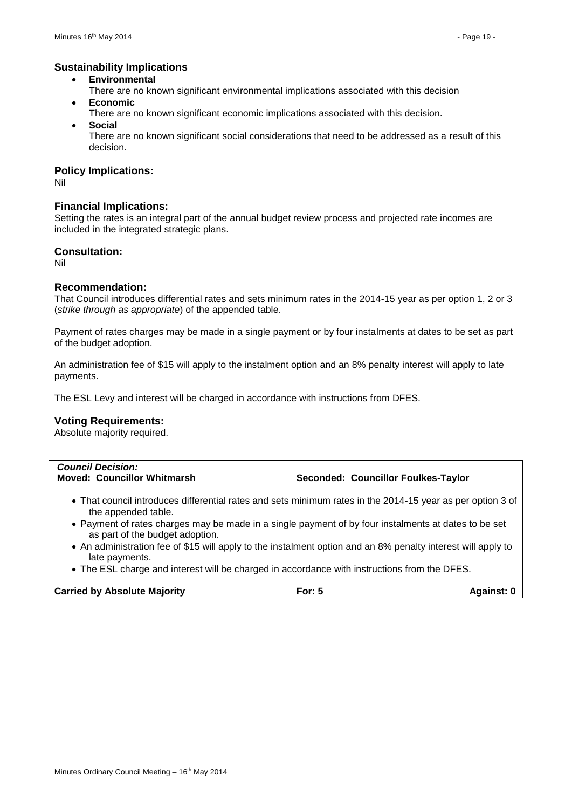#### **Sustainability Implications**

- **Environmental**
- There are no known significant environmental implications associated with this decision **Economic**
- There are no known significant economic implications associated with this decision.
- **Social**

There are no known significant social considerations that need to be addressed as a result of this decision.

#### **Policy Implications:**

Nil

#### **Financial Implications:**

Setting the rates is an integral part of the annual budget review process and projected rate incomes are included in the integrated strategic plans.

#### **Consultation:**

Nil

#### **Recommendation:**

That Council introduces differential rates and sets minimum rates in the 2014-15 year as per option 1, 2 or 3 (*strike through as appropriate*) of the appended table.

Payment of rates charges may be made in a single payment or by four instalments at dates to be set as part of the budget adoption.

An administration fee of \$15 will apply to the instalment option and an 8% penalty interest will apply to late payments.

The ESL Levy and interest will be charged in accordance with instructions from DFES.

#### **Voting Requirements:**

Absolute majority required.

| <b>Council Decision:</b>                                                                                                                |          |                                     |
|-----------------------------------------------------------------------------------------------------------------------------------------|----------|-------------------------------------|
| <b>Moved: Councillor Whitmarsh</b>                                                                                                      |          | Seconded: Councillor Foulkes-Taylor |
|                                                                                                                                         |          |                                     |
|                                                                                                                                         |          |                                     |
| • That council introduces differential rates and sets minimum rates in the 2014-15 year as per option 3 of<br>the appended table.       |          |                                     |
| • Payment of rates charges may be made in a single payment of by four instalments at dates to be set<br>as part of the budget adoption. |          |                                     |
| • An administration fee of \$15 will apply to the instalment option and an 8% penalty interest will apply to                            |          |                                     |
| late payments.                                                                                                                          |          |                                     |
| • The ESL charge and interest will be charged in accordance with instructions from the DFES.                                            |          |                                     |
| <b>Carried by Absolute Majority</b>                                                                                                     | For: $5$ | <b>Against: 0</b>                   |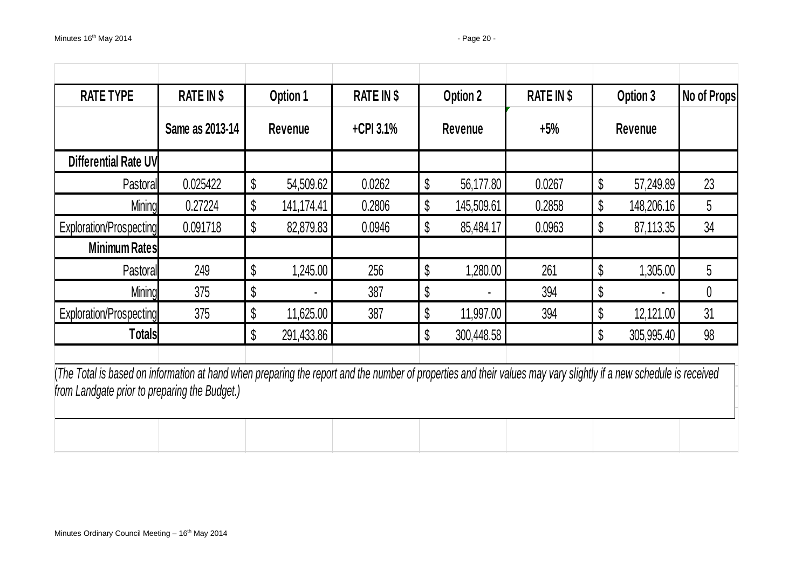| <b>RATE TYPE</b>                                                                                                                                                                                                    | <b>RATE IN \$</b> |    | Option 1       | <b>RATE IN \$</b> |    | Option 2   | <b>RATE IN \$</b> | Option 3         | No of Props |
|---------------------------------------------------------------------------------------------------------------------------------------------------------------------------------------------------------------------|-------------------|----|----------------|-------------------|----|------------|-------------------|------------------|-------------|
|                                                                                                                                                                                                                     | Same as 2013-14   |    | <b>Revenue</b> | $+$ CPI 3.1%      |    | Revenue    | $+5%$             | <b>Revenue</b>   |             |
| Differential Rate UV                                                                                                                                                                                                |                   |    |                |                   |    |            |                   |                  |             |
| Pastoral                                                                                                                                                                                                            | 0.025422          | \$ | 54,509.62      | 0.0262            | \$ | 56,177.80  | 0.0267            | \$<br>57,249.89  | 23          |
| <b>Mining</b>                                                                                                                                                                                                       | 0.27224           | \$ | 141,174.41     | 0.2806            | \$ | 145,509.61 | 0.2858            | \$<br>148,206.16 | 5           |
| Exploration/Prospecting                                                                                                                                                                                             | 0.091718          | \$ | 82,879.83      | 0.0946            | \$ | 85,484.17  | 0.0963            | \$<br>87,113.35  | 34          |
| <b>Minimum Rates</b>                                                                                                                                                                                                |                   |    |                |                   |    |            |                   |                  |             |
| Pastoral                                                                                                                                                                                                            | 249               | \$ | 1,245.00       | 256               | \$ | 1,280.00   | 261               | \$<br>1,305.00   | 5           |
| <b>Mining</b>                                                                                                                                                                                                       | 375               | \$ |                | 387               | \$ |            | 394               | \$               | 0           |
| Exploration/Prospecting                                                                                                                                                                                             | 375               | \$ | 11,625.00      | 387               | \$ | 11,997.00  | 394               | \$<br>12,121.00  | 31          |
| <b>Totals</b>                                                                                                                                                                                                       |                   | \$ | 291,433.86     |                   | \$ | 300,448.58 |                   | \$<br>305,995.40 | 98          |
| (The Total is based on information at hand when preparing the report and the number of properties and their values may vary slightly if a new schedule is received<br>from Landgate prior to preparing the Budget.) |                   |    |                |                   |    |            |                   |                  |             |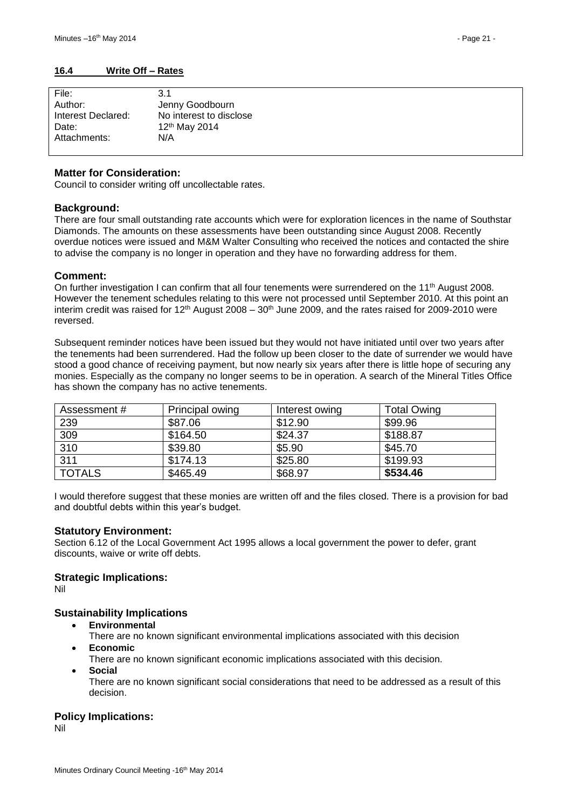#### <span id="page-20-0"></span>**16.4 Write Off – Rates**

| File:              | 3.1                       |
|--------------------|---------------------------|
| Author:            | Jenny Goodbourn           |
| Interest Declared: | No interest to disclose   |
| Date:              | 12 <sup>th</sup> May 2014 |
| Attachments:       | N/A                       |
|                    |                           |

#### **Matter for Consideration:**

Council to consider writing off uncollectable rates.

#### **Background:**

There are four small outstanding rate accounts which were for exploration licences in the name of Southstar Diamonds. The amounts on these assessments have been outstanding since August 2008. Recently overdue notices were issued and M&M Walter Consulting who received the notices and contacted the shire to advise the company is no longer in operation and they have no forwarding address for them.

#### **Comment:**

On further investigation I can confirm that all four tenements were surrendered on the 11<sup>th</sup> August 2008. However the tenement schedules relating to this were not processed until September 2010. At this point an interim credit was raised for  $12<sup>th</sup>$  August 2008 –  $30<sup>th</sup>$  June 2009, and the rates raised for 2009-2010 were reversed.

Subsequent reminder notices have been issued but they would not have initiated until over two vears after the tenements had been surrendered. Had the follow up been closer to the date of surrender we would have stood a good chance of receiving payment, but now nearly six years after there is little hope of securing any monies. Especially as the company no longer seems to be in operation. A search of the Mineral Titles Office has shown the company has no active tenements.

| Assessment #  | Principal owing | Interest owing | <b>Total Owing</b> |
|---------------|-----------------|----------------|--------------------|
| 239           | \$87.06         | \$12.90        | \$99.96            |
| 309           | \$164.50        | \$24.37        | \$188.87           |
| 310           | \$39.80         | \$5.90         | \$45.70            |
| 311           | \$174.13        | \$25.80        | \$199.93           |
| <b>TOTALS</b> | \$465.49        | \$68.97        | \$534.46           |

I would therefore suggest that these monies are written off and the files closed. There is a provision for bad and doubtful debts within this year's budget.

#### **Statutory Environment:**

Section 6.12 of the Local Government Act 1995 allows a local government the power to defer, grant discounts, waive or write off debts.

#### **Strategic Implications:**

Nil

#### **Sustainability Implications**

- **Environmental**
	- There are no known significant environmental implications associated with this decision
- **Economic**
	- There are no known significant economic implications associated with this decision.
- **Social**
	- There are no known significant social considerations that need to be addressed as a result of this decision.

#### **Policy Implications:**

Nil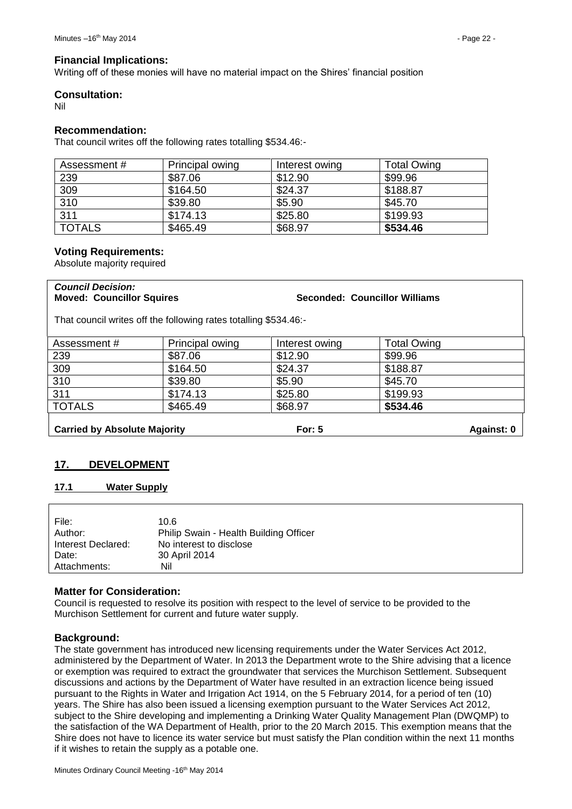#### **Financial Implications:**

Writing off of these monies will have no material impact on the Shires' financial position

#### **Consultation:**

Nil

#### **Recommendation:**

That council writes off the following rates totalling \$534.46:-

| Assessment #  | Principal owing | Interest owing | <b>Total Owing</b> |
|---------------|-----------------|----------------|--------------------|
| 239           | \$87.06         | \$12.90        | \$99.96            |
| 309           | \$164.50        | \$24.37        | \$188.87           |
| 310           | \$39.80         | \$5.90         | \$45.70            |
| 311           | \$174.13        | \$25.80        | \$199.93           |
| <b>TOTALS</b> | \$465.49        | \$68.97        | \$534.46           |

#### **Voting Requirements:**

Absolute majority required

# *Council Decision:*

**Moved: Councillor Squires Seconded: Councillor Williams**

That council writes off the following rates totalling \$534.46:-

| Assessment #                        | Principal owing | Interest owing | <b>Total Owing</b> |  |
|-------------------------------------|-----------------|----------------|--------------------|--|
| 239                                 | \$87.06         | \$12.90        | \$99.96            |  |
| 309                                 | \$164.50        | \$24.37        | \$188.87           |  |
| 310                                 | \$39.80         | \$5.90         | \$45.70            |  |
| 311                                 | \$174.13        | \$25.80        | \$199.93           |  |
| <b>TOTALS</b>                       | \$465.49        | \$68.97        | \$534.46           |  |
| <b>Carried by Absolute Majority</b> |                 | For: $5$       | Against: 0         |  |

# <span id="page-21-0"></span>**17. DEVELOPMENT**

#### <span id="page-21-1"></span>**17.1 Water Supply**

| File:              | 10.6                                   |
|--------------------|----------------------------------------|
| Author:            | Philip Swain - Health Building Officer |
| Interest Declared: | No interest to disclose                |
| Date:              | 30 April 2014                          |
| Attachments:       | Nil                                    |
|                    |                                        |

#### **Matter for Consideration:**

Council is requested to resolve its position with respect to the level of service to be provided to the Murchison Settlement for current and future water supply.

#### **Background:**

The state government has introduced new licensing requirements under the Water Services Act 2012, administered by the Department of Water. In 2013 the Department wrote to the Shire advising that a licence or exemption was required to extract the groundwater that services the Murchison Settlement. Subsequent discussions and actions by the Department of Water have resulted in an extraction licence being issued pursuant to the Rights in Water and Irrigation Act 1914, on the 5 February 2014, for a period of ten (10) years. The Shire has also been issued a licensing exemption pursuant to the Water Services Act 2012, subject to the Shire developing and implementing a Drinking Water Quality Management Plan (DWQMP) to the satisfaction of the WA Department of Health, prior to the 20 March 2015. This exemption means that the Shire does not have to licence its water service but must satisfy the Plan condition within the next 11 months if it wishes to retain the supply as a potable one.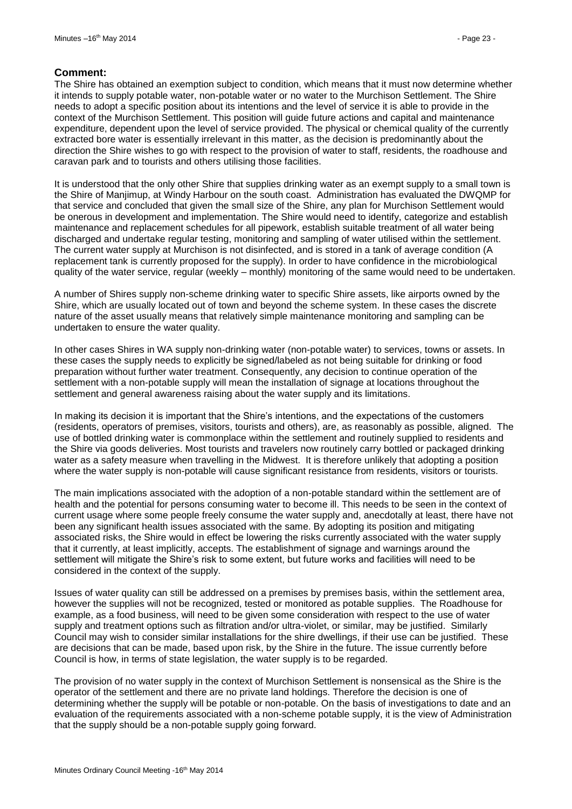#### **Comment:**

The Shire has obtained an exemption subject to condition, which means that it must now determine whether it intends to supply potable water, non-potable water or no water to the Murchison Settlement. The Shire needs to adopt a specific position about its intentions and the level of service it is able to provide in the context of the Murchison Settlement. This position will guide future actions and capital and maintenance expenditure, dependent upon the level of service provided. The physical or chemical quality of the currently extracted bore water is essentially irrelevant in this matter, as the decision is predominantly about the direction the Shire wishes to go with respect to the provision of water to staff, residents, the roadhouse and caravan park and to tourists and others utilising those facilities.

It is understood that the only other Shire that supplies drinking water as an exempt supply to a small town is the Shire of Manjimup, at Windy Harbour on the south coast. Administration has evaluated the DWQMP for that service and concluded that given the small size of the Shire, any plan for Murchison Settlement would be onerous in development and implementation. The Shire would need to identify, categorize and establish maintenance and replacement schedules for all pipework, establish suitable treatment of all water being discharged and undertake regular testing, monitoring and sampling of water utilised within the settlement. The current water supply at Murchison is not disinfected, and is stored in a tank of average condition (A replacement tank is currently proposed for the supply). In order to have confidence in the microbiological quality of the water service, regular (weekly – monthly) monitoring of the same would need to be undertaken.

A number of Shires supply non-scheme drinking water to specific Shire assets, like airports owned by the Shire, which are usually located out of town and beyond the scheme system. In these cases the discrete nature of the asset usually means that relatively simple maintenance monitoring and sampling can be undertaken to ensure the water quality.

In other cases Shires in WA supply non-drinking water (non-potable water) to services, towns or assets. In these cases the supply needs to explicitly be signed/labeled as not being suitable for drinking or food preparation without further water treatment. Consequently, any decision to continue operation of the settlement with a non-potable supply will mean the installation of signage at locations throughout the settlement and general awareness raising about the water supply and its limitations.

In making its decision it is important that the Shire's intentions, and the expectations of the customers (residents, operators of premises, visitors, tourists and others), are, as reasonably as possible, aligned. The use of bottled drinking water is commonplace within the settlement and routinely supplied to residents and the Shire via goods deliveries. Most tourists and travelers now routinely carry bottled or packaged drinking water as a safety measure when travelling in the Midwest. It is therefore unlikely that adopting a position where the water supply is non-potable will cause significant resistance from residents, visitors or tourists.

The main implications associated with the adoption of a non-potable standard within the settlement are of health and the potential for persons consuming water to become ill. This needs to be seen in the context of current usage where some people freely consume the water supply and, anecdotally at least, there have not been any significant health issues associated with the same. By adopting its position and mitigating associated risks, the Shire would in effect be lowering the risks currently associated with the water supply that it currently, at least implicitly, accepts. The establishment of signage and warnings around the settlement will mitigate the Shire's risk to some extent, but future works and facilities will need to be considered in the context of the supply.

Issues of water quality can still be addressed on a premises by premises basis, within the settlement area, however the supplies will not be recognized, tested or monitored as potable supplies. The Roadhouse for example, as a food business, will need to be given some consideration with respect to the use of water supply and treatment options such as filtration and/or ultra-violet, or similar, may be justified. Similarly Council may wish to consider similar installations for the shire dwellings, if their use can be justified. These are decisions that can be made, based upon risk, by the Shire in the future. The issue currently before Council is how, in terms of state legislation, the water supply is to be regarded.

The provision of no water supply in the context of Murchison Settlement is nonsensical as the Shire is the operator of the settlement and there are no private land holdings. Therefore the decision is one of determining whether the supply will be potable or non-potable. On the basis of investigations to date and an evaluation of the requirements associated with a non-scheme potable supply, it is the view of Administration that the supply should be a non-potable supply going forward.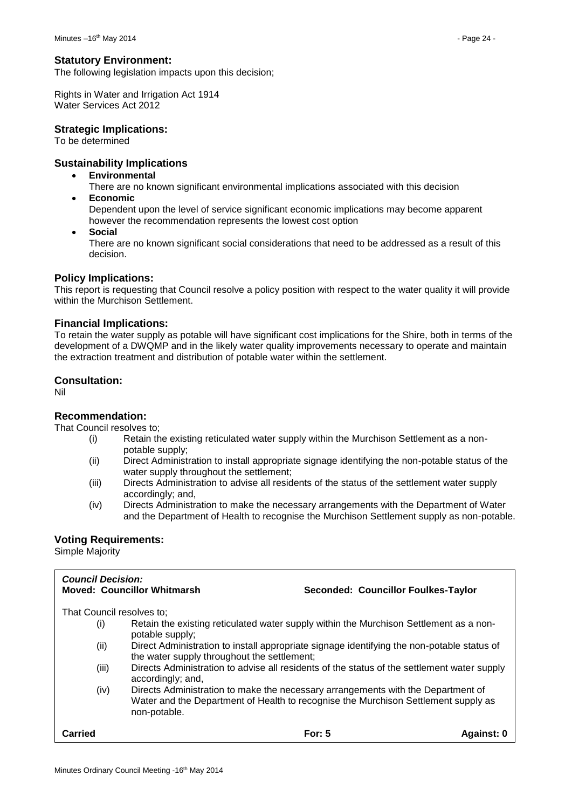#### **Statutory Environment:**

The following legislation impacts upon this decision;

Rights in Water and Irrigation Act 1914 Water Services Act 2012

#### **Strategic Implications:**

To be determined

#### **Sustainability Implications**

- **Environmental**
- There are no known significant environmental implications associated with this decision **Economic**

Dependent upon the level of service significant economic implications may become apparent however the recommendation represents the lowest cost option

**Social**

There are no known significant social considerations that need to be addressed as a result of this decision.

#### **Policy Implications:**

This report is requesting that Council resolve a policy position with respect to the water quality it will provide within the Murchison Settlement.

#### **Financial Implications:**

To retain the water supply as potable will have significant cost implications for the Shire, both in terms of the development of a DWQMP and in the likely water quality improvements necessary to operate and maintain the extraction treatment and distribution of potable water within the settlement.

#### **Consultation:**

Nil

#### **Recommendation:**

That Council resolves to;

- (i) Retain the existing reticulated water supply within the Murchison Settlement as a nonpotable supply;
- (ii) Direct Administration to install appropriate signage identifying the non-potable status of the water supply throughout the settlement;
- (iii) Directs Administration to advise all residents of the status of the settlement water supply accordingly; and,
- (iv) Directs Administration to make the necessary arrangements with the Department of Water and the Department of Health to recognise the Murchison Settlement supply as non-potable.

#### **Voting Requirements:**

Simple Majority

| <b>Council Decision:</b>                                                                                                                                                                       | <b>Moved: Councillor Whitmarsh</b>                                                                                                        | Seconded: Councillor Foulkes-Taylor                                                         |            |
|------------------------------------------------------------------------------------------------------------------------------------------------------------------------------------------------|-------------------------------------------------------------------------------------------------------------------------------------------|---------------------------------------------------------------------------------------------|------------|
| That Council resolves to:                                                                                                                                                                      |                                                                                                                                           |                                                                                             |            |
| (i)                                                                                                                                                                                            | potable supply;                                                                                                                           | Retain the existing reticulated water supply within the Murchison Settlement as a non-      |            |
| (ii)                                                                                                                                                                                           | Direct Administration to install appropriate signage identifying the non-potable status of<br>the water supply throughout the settlement; |                                                                                             |            |
| (iii)                                                                                                                                                                                          | accordingly; and,                                                                                                                         | Directs Administration to advise all residents of the status of the settlement water supply |            |
| (iv)<br>Directs Administration to make the necessary arrangements with the Department of<br>Water and the Department of Health to recognise the Murchison Settlement supply as<br>non-potable. |                                                                                                                                           |                                                                                             |            |
| Carried                                                                                                                                                                                        |                                                                                                                                           | For: $5$                                                                                    | Against: 0 |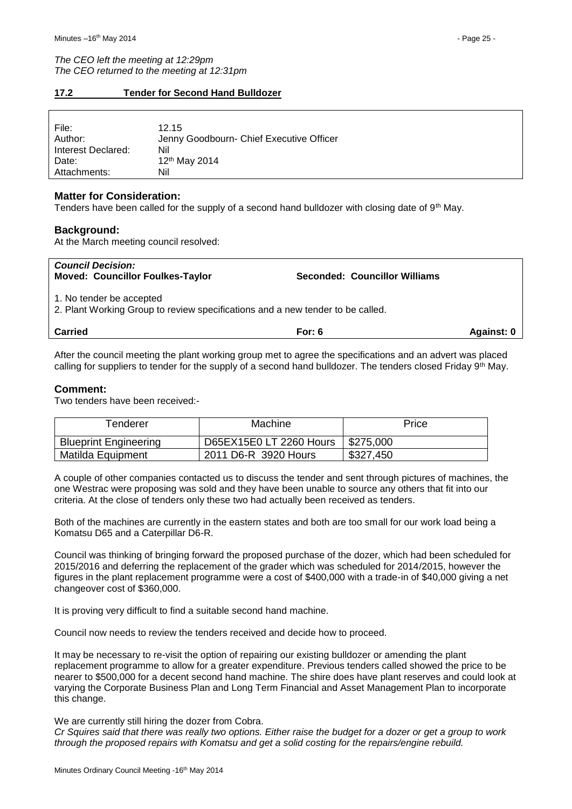*The CEO left the meeting at 12:29pm The CEO returned to the meeting at 12:31pm*

#### <span id="page-24-0"></span>**17.2 Tender for Second Hand Bulldozer**

| File:<br>Author:<br>Interest Declared: | 12.15<br>Jenny Goodbourn- Chief Executive Officer<br>Nil |
|----------------------------------------|----------------------------------------------------------|
| Date:                                  | 12th May 2014                                            |
| Attachments:                           | Nil                                                      |

#### **Matter for Consideration:**

Tenders have been called for the supply of a second hand bulldozer with closing date of 9th May.

#### **Background:**

At the March meeting council resolved:

| <b>Carried</b>                                                                                             | For: $6$                             | Against: 0 |
|------------------------------------------------------------------------------------------------------------|--------------------------------------|------------|
| 1. No tender be accepted<br>2. Plant Working Group to review specifications and a new tender to be called. |                                      |            |
| <b>Council Decision:</b><br><b>Moved: Councillor Foulkes-Taylor</b>                                        | <b>Seconded: Councillor Williams</b> |            |

After the council meeting the plant working group met to agree the specifications and an advert was placed calling for suppliers to tender for the supply of a second hand bulldozer. The tenders closed Friday 9th May.

#### **Comment:**

Two tenders have been received:-

| Tenderer                     | Machine                 | Price     |  |
|------------------------------|-------------------------|-----------|--|
| <b>Blueprint Engineering</b> | D65EX15E0 LT 2260 Hours | \$275,000 |  |
| Matilda Equipment            | 2011 D6-R 3920 Hours    | \$327,450 |  |

A couple of other companies contacted us to discuss the tender and sent through pictures of machines, the one Westrac were proposing was sold and they have been unable to source any others that fit into our criteria. At the close of tenders only these two had actually been received as tenders.

Both of the machines are currently in the eastern states and both are too small for our work load being a Komatsu D65 and a Caterpillar D6-R.

Council was thinking of bringing forward the proposed purchase of the dozer, which had been scheduled for 2015/2016 and deferring the replacement of the grader which was scheduled for 2014/2015, however the figures in the plant replacement programme were a cost of \$400,000 with a trade-in of \$40,000 giving a net changeover cost of \$360,000.

It is proving very difficult to find a suitable second hand machine.

Council now needs to review the tenders received and decide how to proceed.

It may be necessary to re-visit the option of repairing our existing bulldozer or amending the plant replacement programme to allow for a greater expenditure. Previous tenders called showed the price to be nearer to \$500,000 for a decent second hand machine. The shire does have plant reserves and could look at varying the Corporate Business Plan and Long Term Financial and Asset Management Plan to incorporate this change.

We are currently still hiring the dozer from Cobra.

Minutes Ordinary Council Meeting -16<sup>th</sup> May 2014

*Cr Squires said that there was really two options. Either raise the budget for a dozer or get a group to work through the proposed repairs with Komatsu and get a solid costing for the repairs/engine rebuild.*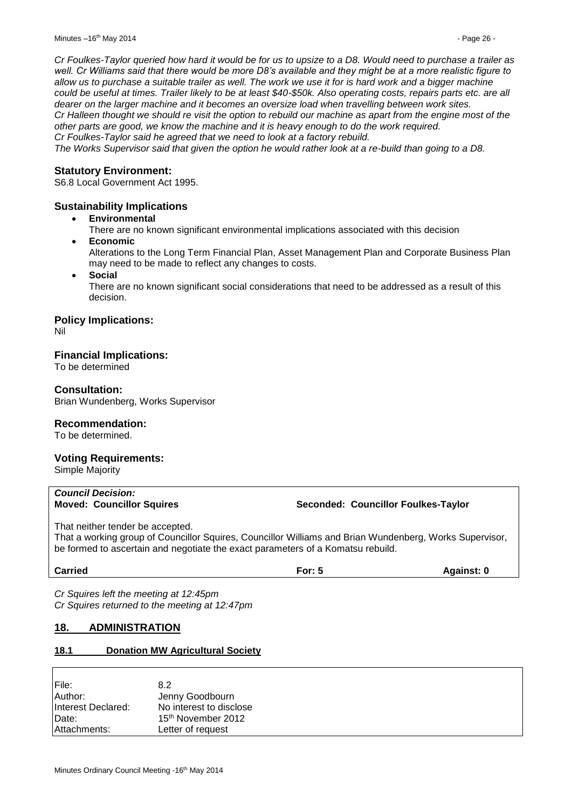*Cr Foulkes-Taylor queried how hard it would be for us to upsize to a D8. Would need to purchase a trailer as well. Cr Williams said that there would be more D8's available and they might be at a more realistic figure to allow us to purchase a suitable trailer as well. The work we use it for is hard work and a bigger machine could be useful at times. Trailer likely to be at least \$40-\$50k. Also operating costs, repairs parts etc. are all dearer on the larger machine and it becomes an oversize load when travelling between work sites. Cr Halleen thought we should re visit the option to rebuild our machine as apart from the engine most of the other parts are good, we know the machine and it is heavy enough to do the work required. Cr Foulkes-Taylor said he agreed that we need to look at a factory rebuild.*

*The Works Supervisor said that given the option he would rather look at a re-build than going to a D8.*

#### **Statutory Environment:**

S6.8 Local Government Act 1995.

#### **Sustainability Implications**

**Environmental**

There are no known significant environmental implications associated with this decision

**Economic**

Alterations to the Long Term Financial Plan, Asset Management Plan and Corporate Business Plan may need to be made to reflect any changes to costs.

**Social**

There are no known significant social considerations that need to be addressed as a result of this decision.

#### **Policy Implications:**

Nil

#### **Financial Implications:**

To be determined

#### **Consultation:**

Brian Wundenberg, Works Supervisor

#### **Recommendation:**

To be determined.

#### **Voting Requirements:**

Simple Majority

# *Council Decision:*

#### **Moved: Councillor Squires Seconded: Councillor Foulkes-Taylor**

That neither tender be accepted.

That a working group of Councillor Squires, Councillor Williams and Brian Wundenberg, Works Supervisor, be formed to ascertain and negotiate the exact parameters of a Komatsu rebuild.

**Carried For: 5 Against: 0**

*Cr Squires left the meeting at 12:45pm Cr Squires returned to the meeting at 12:47pm*

# <span id="page-25-0"></span>**18. ADMINISTRATION**

#### <span id="page-25-1"></span>**18.1 Donation MW Agricultural Society**

| File:              | 8.2                            |
|--------------------|--------------------------------|
| Author:            | Jenny Goodbourn                |
| Interest Declared: | No interest to disclose        |
| Date:              | 15 <sup>th</sup> November 2012 |
| Attachments:       | Letter of request              |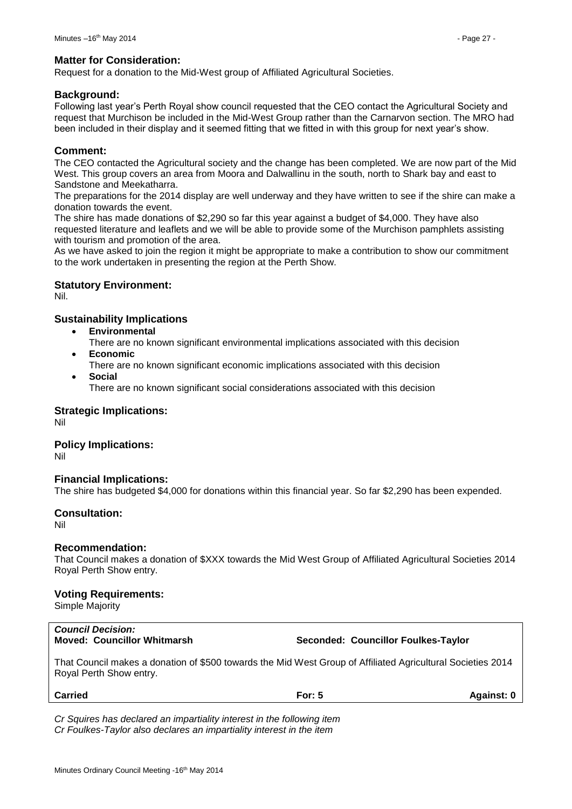#### **Matter for Consideration:**

Request for a donation to the Mid-West group of Affiliated Agricultural Societies.

#### **Background:**

Following last year's Perth Royal show council requested that the CEO contact the Agricultural Society and request that Murchison be included in the Mid-West Group rather than the Carnarvon section. The MRO had been included in their display and it seemed fitting that we fitted in with this group for next year's show.

### **Comment:**

The CEO contacted the Agricultural society and the change has been completed. We are now part of the Mid West. This group covers an area from Moora and Dalwallinu in the south, north to Shark bay and east to Sandstone and Meekatharra.

The preparations for the 2014 display are well underway and they have written to see if the shire can make a donation towards the event.

The shire has made donations of \$2,290 so far this year against a budget of \$4,000. They have also requested literature and leaflets and we will be able to provide some of the Murchison pamphlets assisting with tourism and promotion of the area.

As we have asked to join the region it might be appropriate to make a contribution to show our commitment to the work undertaken in presenting the region at the Perth Show.

### **Statutory Environment:**

Nil.

### **Sustainability Implications**

- **Environmental**
- There are no known significant environmental implications associated with this decision **Economic**
	- There are no known significant economic implications associated with this decision
- **Social** There are no known significant social considerations associated with this decision

#### **Strategic Implications:**

Nil

#### **Policy Implications:**

Nil

# **Financial Implications:**

The shire has budgeted \$4,000 for donations within this financial year. So far \$2,290 has been expended.

#### **Consultation:**

Nil

#### **Recommendation:**

That Council makes a donation of \$XXX towards the Mid West Group of Affiliated Agricultural Societies 2014 Royal Perth Show entry.

# **Voting Requirements:**

Simple Majority

# *Council Decision:*

**Moved: Councillor Whitmarsh Seconded: Councillor Foulkes-Taylor**

That Council makes a donation of \$500 towards the Mid West Group of Affiliated Agricultural Societies 2014 Royal Perth Show entry.

**Carried For: 5 Against: 0**

*Cr Squires has declared an impartiality interest in the following item Cr Foulkes-Taylor also declares an impartiality interest in the item*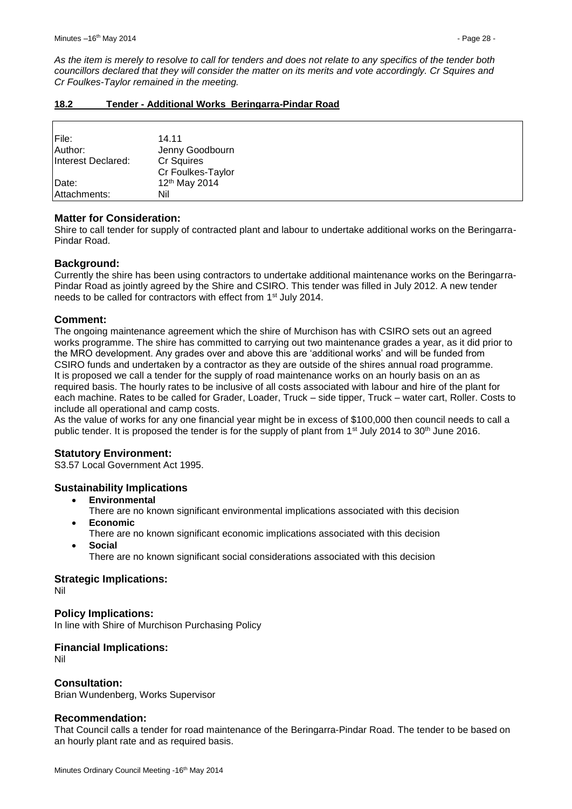*As the item is merely to resolve to call for tenders and does not relate to any specifics of the tender both councillors declared that they will consider the matter on its merits and vote accordingly. Cr Squires and Cr Foulkes-Taylor remained in the meeting.*

<span id="page-27-0"></span>

| Tender - Additional Works Beringarra-Pindar Road<br>18.2 |  |
|----------------------------------------------------------|--|
|----------------------------------------------------------|--|

| File:              | 14.11                     |
|--------------------|---------------------------|
| Author:            | Jenny Goodbourn           |
| Interest Declared: | Cr Squires                |
|                    | Cr Foulkes-Taylor         |
| Date:              | 12 <sup>th</sup> May 2014 |
| Attachments:       | Nil                       |

# **Matter for Consideration:**

Shire to call tender for supply of contracted plant and labour to undertake additional works on the Beringarra-Pindar Road.

# **Background:**

Currently the shire has been using contractors to undertake additional maintenance works on the Beringarra-Pindar Road as jointly agreed by the Shire and CSIRO. This tender was filled in July 2012. A new tender needs to be called for contractors with effect from 1st July 2014.

# **Comment:**

The ongoing maintenance agreement which the shire of Murchison has with CSIRO sets out an agreed works programme. The shire has committed to carrying out two maintenance grades a year, as it did prior to the MRO development. Any grades over and above this are 'additional works' and will be funded from CSIRO funds and undertaken by a contractor as they are outside of the shires annual road programme. It is proposed we call a tender for the supply of road maintenance works on an hourly basis on an as required basis. The hourly rates to be inclusive of all costs associated with labour and hire of the plant for each machine. Rates to be called for Grader, Loader, Truck – side tipper, Truck – water cart, Roller. Costs to include all operational and camp costs.

As the value of works for any one financial year might be in excess of \$100,000 then council needs to call a public tender. It is proposed the tender is for the supply of plant from 1<sup>st</sup> July 2014 to 30<sup>th</sup> June 2016.

# **Statutory Environment:**

S3.57 Local Government Act 1995.

# **Sustainability Implications**

- **Environmental**
- There are no known significant environmental implications associated with this decision **Economic**
- There are no known significant economic implications associated with this decision **Social**
	- There are no known significant social considerations associated with this decision

# **Strategic Implications:**

Nil

# **Policy Implications:**

In line with Shire of Murchison Purchasing Policy

# **Financial Implications:**

Nil

# **Consultation:**

Brian Wundenberg, Works Supervisor

# **Recommendation:**

That Council calls a tender for road maintenance of the Beringarra-Pindar Road. The tender to be based on an hourly plant rate and as required basis.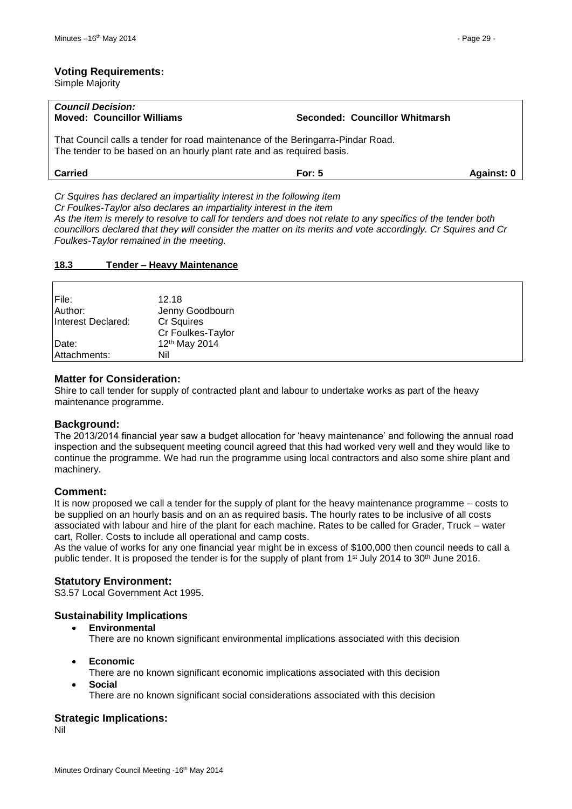#### **Voting Requirements:**

Simple Majority

| <b>Council Decision:</b><br><b>Moved: Councillor Williams</b>                                                                                            | Seconded: Councillor Whitmarsh |
|----------------------------------------------------------------------------------------------------------------------------------------------------------|--------------------------------|
| That Council calls a tender for road maintenance of the Beringarra-Pindar Road.<br>The tender to be based on an hourly plant rate and as required basis. |                                |

| <b>Carried</b><br>For: $\cup$<br>Against <sup>.</sup> |
|-------------------------------------------------------|
|-------------------------------------------------------|

*Cr Squires has declared an impartiality interest in the following item Cr Foulkes-Taylor also declares an impartiality interest in the item*

*As the item is merely to resolve to call for tenders and does not relate to any specifics of the tender both councillors declared that they will consider the matter on its merits and vote accordingly. Cr Squires and Cr Foulkes-Taylor remained in the meeting.*

#### <span id="page-28-0"></span>**18.3 Tender – Heavy Maintenance**

| File:              | 12.18                     |
|--------------------|---------------------------|
| Author:            | Jenny Goodbourn           |
| Interest Declared: | Cr Squires                |
|                    | Cr Foulkes-Taylor         |
| Date:              | 12 <sup>th</sup> May 2014 |
| Attachments:       | Nil                       |

#### **Matter for Consideration:**

Shire to call tender for supply of contracted plant and labour to undertake works as part of the heavy maintenance programme.

#### **Background:**

The 2013/2014 financial year saw a budget allocation for 'heavy maintenance' and following the annual road inspection and the subsequent meeting council agreed that this had worked very well and they would like to continue the programme. We had run the programme using local contractors and also some shire plant and machinery.

#### **Comment:**

It is now proposed we call a tender for the supply of plant for the heavy maintenance programme – costs to be supplied on an hourly basis and on an as required basis. The hourly rates to be inclusive of all costs associated with labour and hire of the plant for each machine. Rates to be called for Grader, Truck – water cart, Roller. Costs to include all operational and camp costs.

As the value of works for any one financial year might be in excess of \$100,000 then council needs to call a public tender. It is proposed the tender is for the supply of plant from 1<sup>st</sup> July 2014 to 30<sup>th</sup> June 2016.

#### **Statutory Environment:**

S3.57 Local Government Act 1995.

#### **Sustainability Implications**

**Environmental**

There are no known significant environmental implications associated with this decision

- **Economic**
	- There are no known significant economic implications associated with this decision
- **Social**

There are no known significant social considerations associated with this decision

#### **Strategic Implications:**

Nil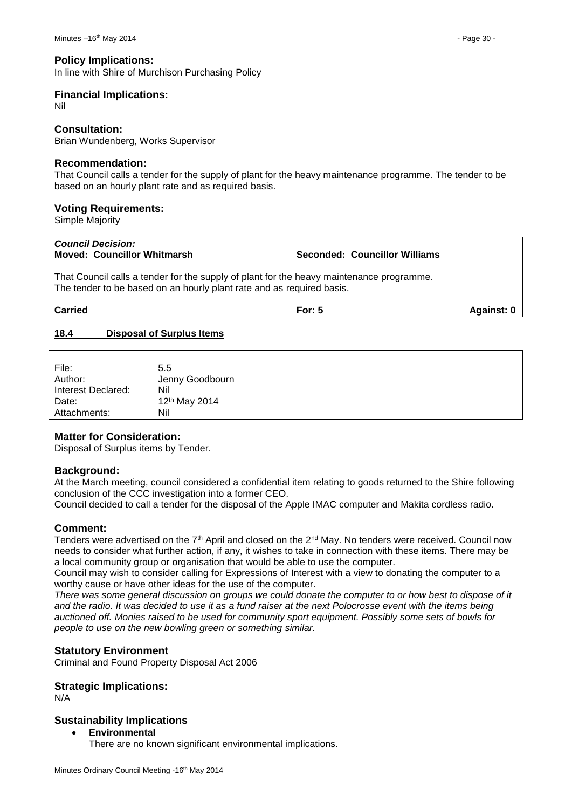#### **Policy Implications:**

In line with Shire of Murchison Purchasing Policy

## **Financial Implications:**

Nil

#### **Consultation:**

Brian Wundenberg, Works Supervisor

#### **Recommendation:**

That Council calls a tender for the supply of plant for the heavy maintenance programme. The tender to be based on an hourly plant rate and as required basis.

#### **Voting Requirements:**

Simple Majority

#### *Council Decision:* **Moved: Councillor Whitmarsh Seconded: Councillor Williams**

That Council calls a tender for the supply of plant for the heavy maintenance programme. The tender to be based on an hourly plant rate and as required basis.

**Carried For: 5 Against: 0**

### <span id="page-29-0"></span>**18.4 Disposal of Surplus Items**

| File:<br>Author:<br>Interest Declared:<br>Date: | 5.5<br>Jenny Goodbourn<br>Nil<br>12th May 2014 |
|-------------------------------------------------|------------------------------------------------|
|                                                 |                                                |
| Attachments:                                    | Nil                                            |

# **Matter for Consideration:**

Disposal of Surplus items by Tender.

#### **Background:**

At the March meeting, council considered a confidential item relating to goods returned to the Shire following conclusion of the CCC investigation into a former CEO.

Council decided to call a tender for the disposal of the Apple IMAC computer and Makita cordless radio.

#### **Comment:**

Tenders were advertised on the 7<sup>th</sup> April and closed on the 2<sup>nd</sup> May. No tenders were received. Council now needs to consider what further action, if any, it wishes to take in connection with these items. There may be a local community group or organisation that would be able to use the computer.

Council may wish to consider calling for Expressions of Interest with a view to donating the computer to a worthy cause or have other ideas for the use of the computer.

*There was some general discussion on groups we could donate the computer to or how best to dispose of it and the radio. It was decided to use it as a fund raiser at the next Polocrosse event with the items being auctioned off. Monies raised to be used for community sport equipment. Possibly some sets of bowls for people to use on the new bowling green or something similar.*

#### **Statutory Environment**

Criminal and Found Property Disposal Act 2006

#### **Strategic Implications:**

N/A

#### **Sustainability Implications**

#### **Environmental**

There are no known significant environmental implications.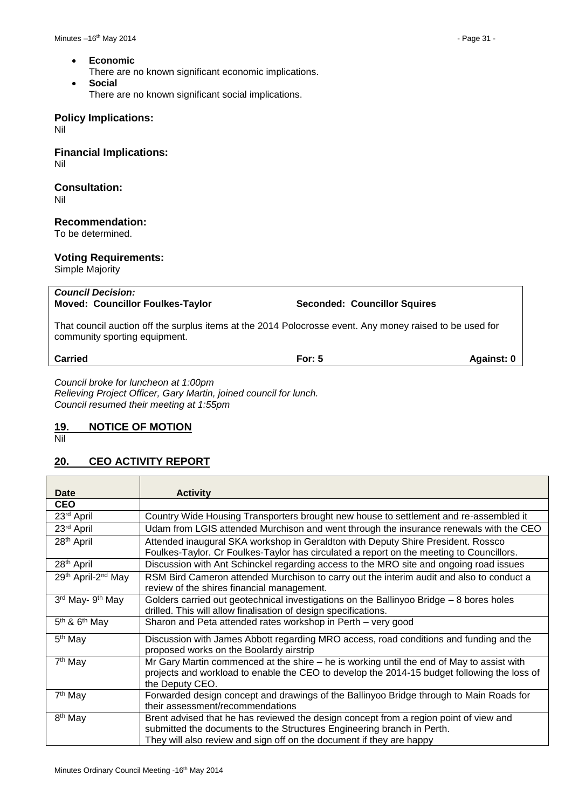- **Economic**
	- There are no known significant economic implications.
- **Social** There are no known significant social implications.

#### **Policy Implications:**

Nil

**Financial Implications:** Nil

# **Consultation:**

Nil

#### **Recommendation:**

To be determined.

### **Voting Requirements:**

Simple Majority

| <b>Council Decision:</b><br><b>Moved: Councillor Foulkes-Taylor</b>                                                                       | <b>Seconded: Councillor Squires</b> |            |  |  |
|-------------------------------------------------------------------------------------------------------------------------------------------|-------------------------------------|------------|--|--|
| That council auction off the surplus items at the 2014 Polocrosse event. Any money raised to be used for<br>community sporting equipment. |                                     |            |  |  |
| <b>Carried</b>                                                                                                                            | For: $5$                            | Against: 0 |  |  |
| Council broke for luncheon at 1:00pm                                                                                                      |                                     |            |  |  |

*Council broke for luncheon at 1:00pm Relieving Project Officer, Gary Martin, joined council for lunch. Council resumed their meeting at 1:55pm*

# <span id="page-30-0"></span>**19. NOTICE OF MOTION**

Nil

# <span id="page-30-1"></span>**20. CEO ACTIVITY REPORT**

| Date                           | <b>Activity</b>                                                                             |
|--------------------------------|---------------------------------------------------------------------------------------------|
| <b>CEO</b>                     |                                                                                             |
| 23rd April                     | Country Wide Housing Transporters brought new house to settlement and re-assembled it       |
| 23rd April                     | Udam from LGIS attended Murchison and went through the insurance renewals with the CEO      |
| 28 <sup>th</sup> April         | Attended inaugural SKA workshop in Geraldton with Deputy Shire President. Rossco            |
|                                | Foulkes-Taylor. Cr Foulkes-Taylor has circulated a report on the meeting to Councillors.    |
| 28 <sup>th</sup> April         | Discussion with Ant Schinckel regarding access to the MRO site and ongoing road issues      |
| 29th April-2 <sup>nd</sup> May | RSM Bird Cameron attended Murchison to carry out the interim audit and also to conduct a    |
|                                | review of the shires financial management.                                                  |
| 3rd May- 9th May               | Golders carried out geotechnical investigations on the Ballinyoo Bridge - 8 bores holes     |
|                                | drilled. This will allow finalisation of design specifications.                             |
| $5th$ & $6th$ May              | Sharon and Peta attended rates workshop in Perth - very good                                |
| 5 <sup>th</sup> May            | Discussion with James Abbott regarding MRO access, road conditions and funding and the      |
|                                | proposed works on the Boolardy airstrip                                                     |
| 7 <sup>th</sup> May            | Mr Gary Martin commenced at the shire – he is working until the end of May to assist with   |
|                                | projects and workload to enable the CEO to develop the 2014-15 budget following the loss of |
|                                | the Deputy CEO.                                                                             |
| 7 <sup>th</sup> May            | Forwarded design concept and drawings of the Ballinyoo Bridge through to Main Roads for     |
|                                | their assessment/recommendations                                                            |
| 8 <sup>th</sup> May            | Brent advised that he has reviewed the design concept from a region point of view and       |
|                                | submitted the documents to the Structures Engineering branch in Perth.                      |
|                                | They will also review and sign off on the document if they are happy                        |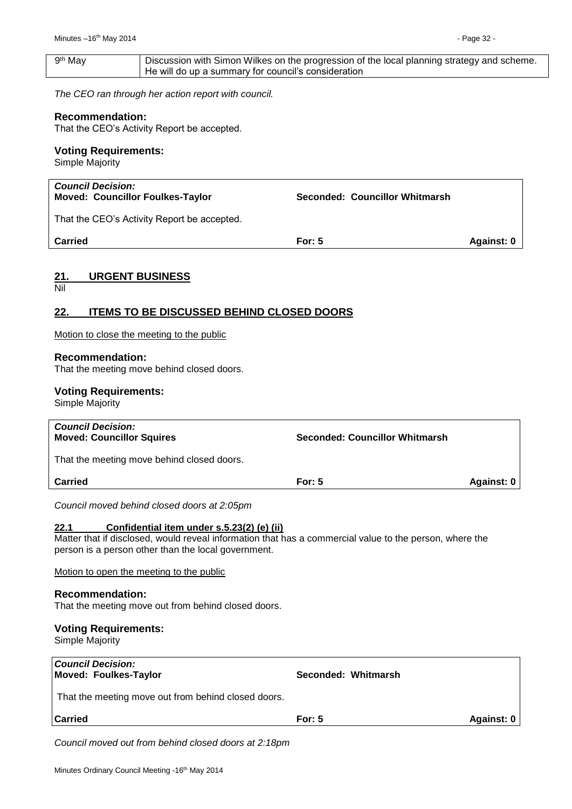<span id="page-31-1"></span><span id="page-31-0"></span>

| 9 <sup>th</sup> May                                                 | Discussion with Simon Wilkes on the progression of the local planning strategy and scheme.<br>He will do up a summary for council's consideration |                                                                                                         |                   |
|---------------------------------------------------------------------|---------------------------------------------------------------------------------------------------------------------------------------------------|---------------------------------------------------------------------------------------------------------|-------------------|
|                                                                     | The CEO ran through her action report with council.                                                                                               |                                                                                                         |                   |
| <b>Recommendation:</b>                                              | That the CEO's Activity Report be accepted.                                                                                                       |                                                                                                         |                   |
| <b>Voting Requirements:</b>                                         |                                                                                                                                                   |                                                                                                         |                   |
| Simple Majority                                                     |                                                                                                                                                   |                                                                                                         |                   |
| <b>Council Decision:</b><br><b>Moved: Councillor Foulkes-Taylor</b> |                                                                                                                                                   | <b>Seconded: Councillor Whitmarsh</b>                                                                   |                   |
|                                                                     | That the CEO's Activity Report be accepted.                                                                                                       |                                                                                                         |                   |
| <b>Carried</b>                                                      |                                                                                                                                                   | <b>For: 5</b>                                                                                           | <b>Against: 0</b> |
| <u> 21.</u><br>Nil                                                  | <b>URGENT BUSINESS</b>                                                                                                                            |                                                                                                         |                   |
| <u>22.</u>                                                          | <b>ITEMS TO BE DISCUSSED BEHIND CLOSED DOORS</b>                                                                                                  |                                                                                                         |                   |
|                                                                     | Motion to close the meeting to the public                                                                                                         |                                                                                                         |                   |
| <b>Recommendation:</b>                                              | That the meeting move behind closed doors.                                                                                                        |                                                                                                         |                   |
| <b>Voting Requirements:</b><br>Simple Majority                      |                                                                                                                                                   |                                                                                                         |                   |
| <b>Council Decision:</b><br><b>Moved: Councillor Squires</b>        |                                                                                                                                                   | <b>Seconded: Councillor Whitmarsh</b>                                                                   |                   |
|                                                                     | That the meeting move behind closed doors.                                                                                                        |                                                                                                         |                   |
| <b>Carried</b>                                                      |                                                                                                                                                   | For: 5                                                                                                  | <b>Against: 0</b> |
|                                                                     | Council moved behind closed doors at 2:05pm                                                                                                       |                                                                                                         |                   |
| 22.1                                                                | Confidential item under s.5.23(2) (e) (ii)<br>person is a person other than the local government.                                                 | Matter that if disclosed, would reveal information that has a commercial value to the person, where the |                   |
|                                                                     | Motion to open the meeting to the public                                                                                                          |                                                                                                         |                   |
| <b>Recommendation:</b>                                              |                                                                                                                                                   |                                                                                                         |                   |
|                                                                     | That the meeting move out from behind closed doors.                                                                                               |                                                                                                         |                   |
| <b>Voting Requirements:</b><br>Simple Majority                      |                                                                                                                                                   |                                                                                                         |                   |
| <b>Council Decision:</b>                                            |                                                                                                                                                   |                                                                                                         |                   |
| <b>Moved: Foulkes-Taylor</b>                                        | That the meeting move out from behind closed doors.                                                                                               | Seconded: Whitmarsh                                                                                     |                   |

<span id="page-31-2"></span>**Carried Carried Carried For: 5 Carried Against: 0** 

*Council moved out from behind closed doors at 2:18pm*